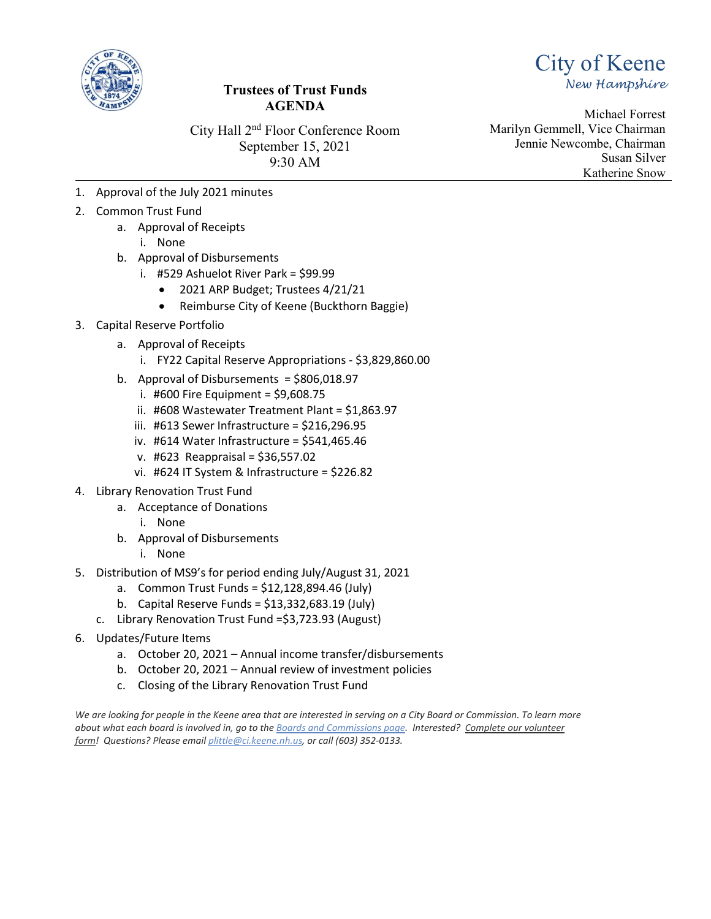

# **Trustees of Trust Funds AGENDA**

City Hall 2nd Floor Conference Room September 15, 2021 9:30 AM

Michael Forrest Marilyn Gemmell, Vice Chairman Jennie Newcombe, Chairman Susan Silver Katherine Snow

City of Keene

*New Hampshire*

- 1. Approval of the July 2021 minutes
- 2. Common Trust Fund
	- a. Approval of Receipts
		- i. None
	- b. Approval of Disbursements
		- i. #529 Ashuelot River Park = \$99.99
			- 2021 ARP Budget; Trustees 4/21/21
			- Reimburse City of Keene (Buckthorn Baggie)
- 3. Capital Reserve Portfolio
	- a. Approval of Receipts
		- i. FY22 Capital Reserve Appropriations \$3,829,860.00
	- b. Approval of Disbursements = \$806,018.97
		- i. #600 Fire Equipment =  $$9,608.75$
		- ii. #608 Wastewater Treatment Plant = \$1,863.97
		- iii. #613 Sewer Infrastructure = \$216,296.95
		- iv. #614 Water Infrastructure = \$541,465.46
		- v. #623 Reappraisal = \$36,557.02
		- vi. #624 IT System & Infrastructure = \$226.82
- 4. Library Renovation Trust Fund
	- a. Acceptance of Donations
		- i. None
	- b. Approval of Disbursements
		- i. None
- 5. Distribution of MS9's for period ending July/August 31, 2021
	- a. Common Trust Funds = \$12,128,894.46 (July)
	- b. Capital Reserve Funds = \$13,332,683.19 (July)
	- c. Library Renovation Trust Fund =\$3,723.93 (August)
- 6. Updates/Future Items
	- a. October 20, 2021 Annual income transfer/disbursements
	- b. October 20, 2021 Annual review of investment policies
	- c. Closing of the Library Renovation Trust Fund

*We are looking for people in the Keene area that are interested in serving on a City Board or Commission. To learn more about what each board is involved in, go to the [Boards and Commissions page.](https://ci.keene.nh.us/boards-commissions) Interested? [Complete our volunteer](https://ci.keene.nh.us/interested-serving-city-board-or-commission)  [form!](https://ci.keene.nh.us/interested-serving-city-board-or-commission) Questions? Please email [plittle@ci.keene.nh.us,](mailto:plittle@ci.keene.nh.us) or call (603) 352-0133.*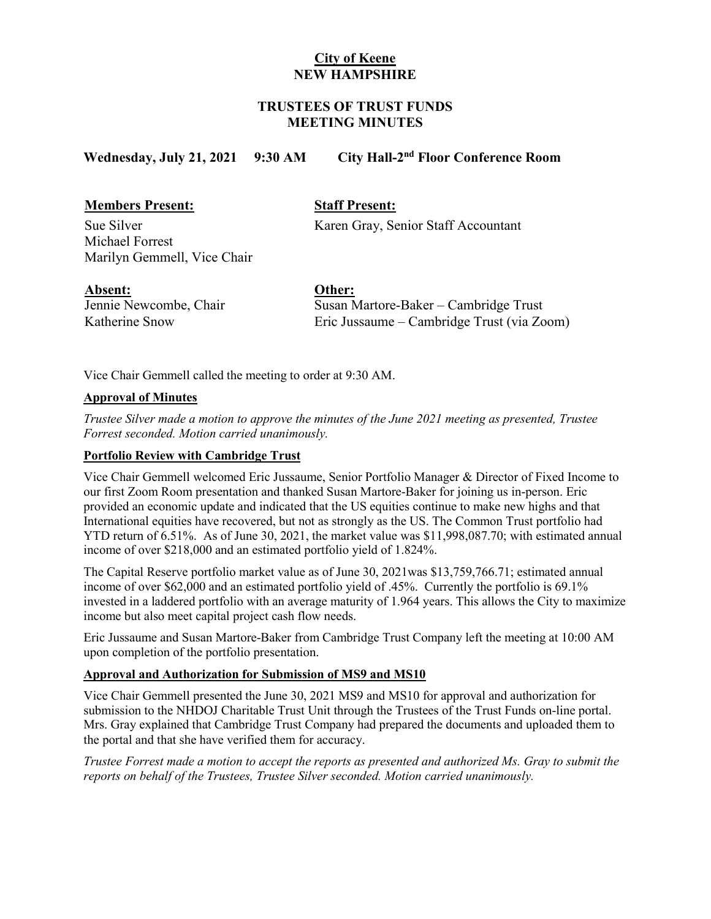# **City of Keene NEW HAMPSHIRE**

# **TRUSTEES OF TRUST FUNDS MEETING MINUTES**

# **Wednesday, July 21, 2021 9:30 AM City Hall-2nd Floor Conference Room**

# **Members Present: Staff Present:**

Michael Forrest Marilyn Gemmell, Vice Chair

Sue Silver Karen Gray, Senior Staff Accountant

## **Absent: Other:**

Jennie Newcombe, Chair Katherine Snow

Susan Martore-Baker – Cambridge Trust Eric Jussaume – Cambridge Trust (via Zoom)

Vice Chair Gemmell called the meeting to order at 9:30 AM.

## **Approval of Minutes**

*Trustee Silver made a motion to approve the minutes of the June 2021 meeting as presented, Trustee Forrest seconded. Motion carried unanimously.* 

## **Portfolio Review with Cambridge Trust**

Vice Chair Gemmell welcomed Eric Jussaume, Senior Portfolio Manager & Director of Fixed Income to our first Zoom Room presentation and thanked Susan Martore-Baker for joining us in-person. Eric provided an economic update and indicated that the US equities continue to make new highs and that International equities have recovered, but not as strongly as the US. The Common Trust portfolio had YTD return of 6.51%. As of June 30, 2021, the market value was \$11,998,087.70; with estimated annual income of over \$218,000 and an estimated portfolio yield of 1.824%.

The Capital Reserve portfolio market value as of June 30, 2021was \$13,759,766.71; estimated annual income of over \$62,000 and an estimated portfolio yield of .45%. Currently the portfolio is 69.1% invested in a laddered portfolio with an average maturity of 1.964 years. This allows the City to maximize income but also meet capital project cash flow needs.

Eric Jussaume and Susan Martore-Baker from Cambridge Trust Company left the meeting at 10:00 AM upon completion of the portfolio presentation.

#### **Approval and Authorization for Submission of MS9 and MS10**

Vice Chair Gemmell presented the June 30, 2021 MS9 and MS10 for approval and authorization for submission to the NHDOJ Charitable Trust Unit through the Trustees of the Trust Funds on-line portal. Mrs. Gray explained that Cambridge Trust Company had prepared the documents and uploaded them to the portal and that she have verified them for accuracy.

*Trustee Forrest made a motion to accept the reports as presented and authorized Ms. Gray to submit the reports on behalf of the Trustees, Trustee Silver seconded. Motion carried unanimously.*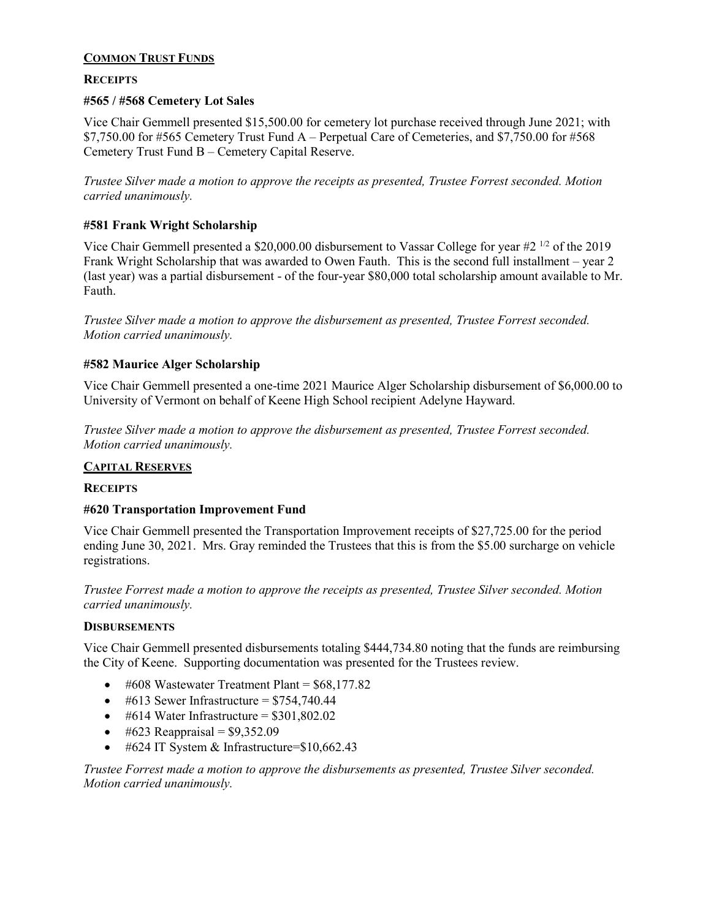## **COMMON TRUST FUNDS**

## **RECEIPTS**

## **#565 / #568 Cemetery Lot Sales**

Vice Chair Gemmell presented \$15,500.00 for cemetery lot purchase received through June 2021; with \$7,750.00 for #565 Cemetery Trust Fund A – Perpetual Care of Cemeteries, and \$7,750.00 for #568 Cemetery Trust Fund B – Cemetery Capital Reserve.

*Trustee Silver made a motion to approve the receipts as presented, Trustee Forrest seconded. Motion carried unanimously.*

#### **#581 Frank Wright Scholarship**

Vice Chair Gemmell presented a \$20,000.00 disbursement to Vassar College for year  $#2^{1/2}$  of the 2019 Frank Wright Scholarship that was awarded to Owen Fauth. This is the second full installment – year 2 (last year) was a partial disbursement - of the four-year \$80,000 total scholarship amount available to Mr. Fauth.

*Trustee Silver made a motion to approve the disbursement as presented, Trustee Forrest seconded. Motion carried unanimously.*

## **#582 Maurice Alger Scholarship**

Vice Chair Gemmell presented a one-time 2021 Maurice Alger Scholarship disbursement of \$6,000.00 to University of Vermont on behalf of Keene High School recipient Adelyne Hayward.

*Trustee Silver made a motion to approve the disbursement as presented, Trustee Forrest seconded. Motion carried unanimously.* 

#### **CAPITAL RESERVES**

#### **RECEIPTS**

#### **#620 Transportation Improvement Fund**

Vice Chair Gemmell presented the Transportation Improvement receipts of \$27,725.00 for the period ending June 30, 2021. Mrs. Gray reminded the Trustees that this is from the \$5.00 surcharge on vehicle registrations.

*Trustee Forrest made a motion to approve the receipts as presented, Trustee Silver seconded. Motion carried unanimously.* 

#### **DISBURSEMENTS**

Vice Chair Gemmell presented disbursements totaling \$444,734.80 noting that the funds are reimbursing the City of Keene. Supporting documentation was presented for the Trustees review.

- $\bullet$  #608 Wastewater Treatment Plant = \$68,177.82
- $\bullet$  #613 Sewer Infrastructure = \$754,740.44
- #614 Water Infrastructure =  $$301,802.02$
- #623 Reappraisal =  $$9,352.09$
- #624 IT System & Infrastructure= $$10,662.43$

*Trustee Forrest made a motion to approve the disbursements as presented, Trustee Silver seconded. Motion carried unanimously.*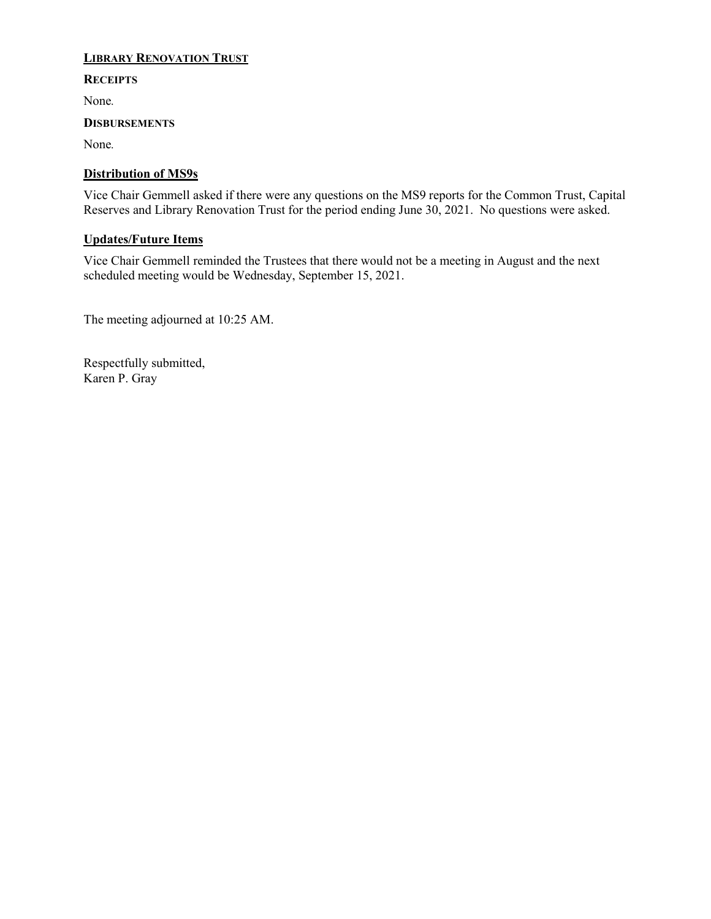# **LIBRARY RENOVATION TRUST**

## **RECEIPTS**

None*.*

## **DISBURSEMENTS**

None*.* 

# **Distribution of MS9s**

Vice Chair Gemmell asked if there were any questions on the MS9 reports for the Common Trust, Capital Reserves and Library Renovation Trust for the period ending June 30, 2021. No questions were asked.

# **Updates/Future Items**

Vice Chair Gemmell reminded the Trustees that there would not be a meeting in August and the next scheduled meeting would be Wednesday, September 15, 2021.

The meeting adjourned at 10:25 AM.

Respectfully submitted, Karen P. Gray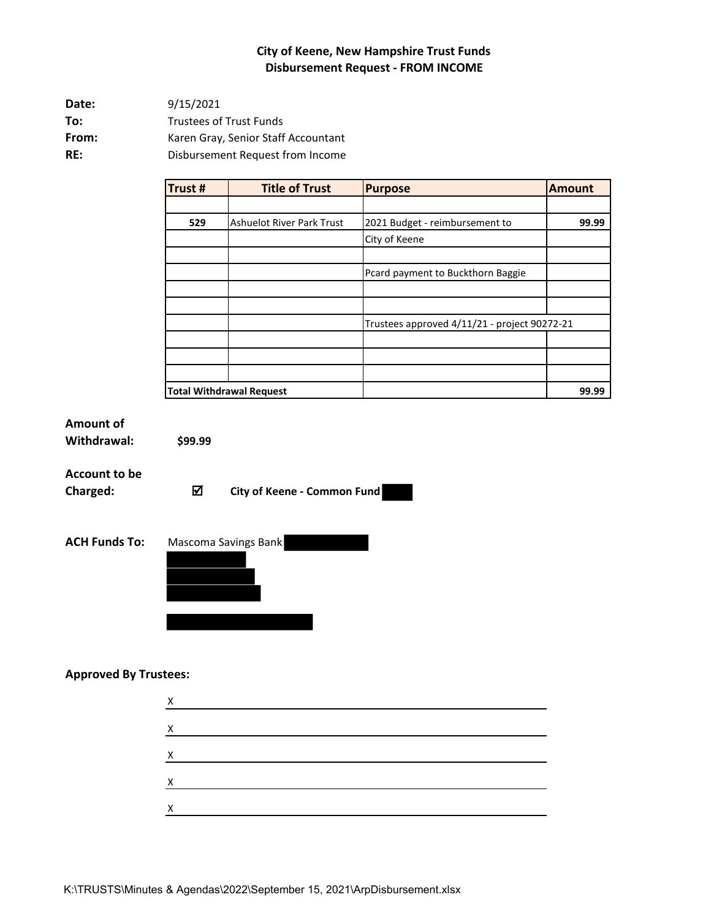# **City of Keene, New Hampshire Trust Funds Disbursement Request - FROM INCOME**

**Date: To:** Trustees of Trust Funds From: Karen Gray, Senior Staff Accountant **RE:** Disbursement Request from Income 9/15/2021

| Trust# | <b>Title of Trust</b>            | <b>Purpose</b>                               | <b>Amount</b> |
|--------|----------------------------------|----------------------------------------------|---------------|
|        |                                  |                                              |               |
| 529    | <b>Ashuelot River Park Trust</b> | 2021 Budget - reimbursement to               | 99.99         |
|        |                                  | City of Keene                                |               |
|        |                                  |                                              |               |
|        |                                  | Pcard payment to Buckthorn Baggie            |               |
|        |                                  |                                              |               |
|        |                                  |                                              |               |
|        |                                  | Trustees approved 4/11/21 - project 90272-21 |               |
|        |                                  |                                              |               |
|        |                                  |                                              |               |
|        |                                  |                                              |               |
|        | <b>Total Withdrawal Request</b>  |                                              | 99.99         |

# **Amount of**

**Withdrawal: \$99.99**

# **Account to be**

**Charged: City of Keene - Common Fund** 



#### **Approved By Trustees:**

| X |  |  |  |
|---|--|--|--|
| X |  |  |  |
| X |  |  |  |
| X |  |  |  |
| X |  |  |  |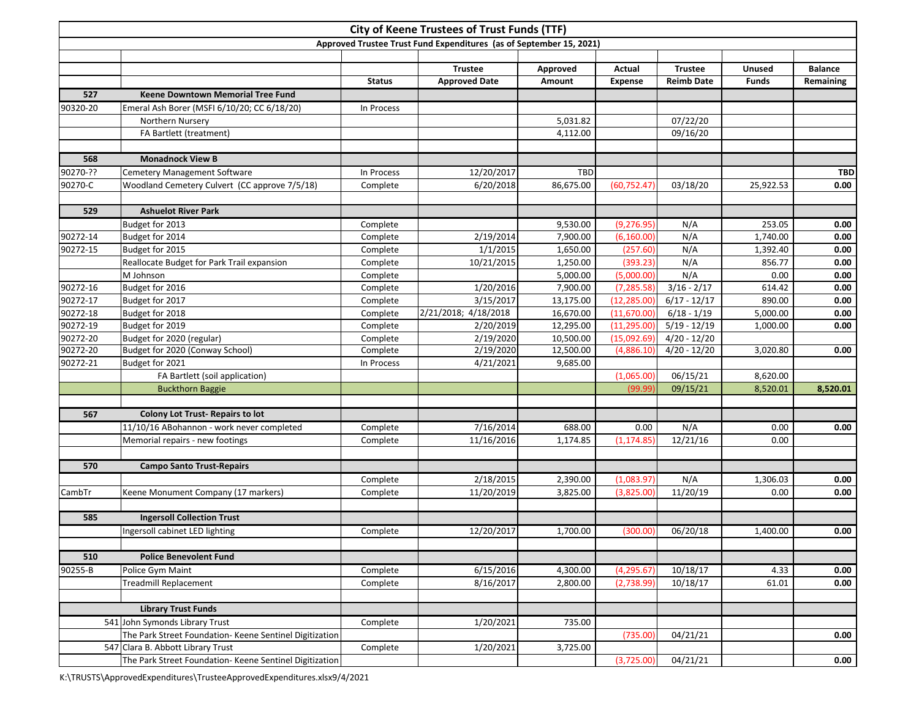|              | <b>City of Keene Trustees of Trust Funds (TTF)</b><br>Approved Trustee Trust Fund Expenditures (as of September 15, 2021) |                      |                        |                      |                           |                      |               |                |  |  |  |  |  |  |
|--------------|---------------------------------------------------------------------------------------------------------------------------|----------------------|------------------------|----------------------|---------------------------|----------------------|---------------|----------------|--|--|--|--|--|--|
|              |                                                                                                                           |                      |                        |                      |                           |                      |               |                |  |  |  |  |  |  |
|              |                                                                                                                           |                      |                        |                      |                           |                      |               |                |  |  |  |  |  |  |
|              |                                                                                                                           |                      | <b>Trustee</b>         | Approved             | Actual                    | <b>Trustee</b>       | Unused        | <b>Balance</b> |  |  |  |  |  |  |
|              |                                                                                                                           | <b>Status</b>        | <b>Approved Date</b>   | Amount               | <b>Expense</b>            | <b>Reimb Date</b>    | <b>Funds</b>  | Remaining      |  |  |  |  |  |  |
| 527          | <b>Keene Downtown Memorial Tree Fund</b>                                                                                  |                      |                        |                      |                           |                      |               |                |  |  |  |  |  |  |
| 90320-20     | Emeral Ash Borer (MSFI 6/10/20; CC 6/18/20)                                                                               | In Process           |                        |                      |                           |                      |               |                |  |  |  |  |  |  |
|              | Northern Nursery                                                                                                          |                      |                        | 5,031.82             |                           | 07/22/20             |               |                |  |  |  |  |  |  |
|              | FA Bartlett (treatment)                                                                                                   |                      |                        | 4,112.00             |                           | 09/16/20             |               |                |  |  |  |  |  |  |
| 568          | <b>Monadnock View B</b>                                                                                                   |                      |                        |                      |                           |                      |               |                |  |  |  |  |  |  |
| 90270-??     |                                                                                                                           |                      | 12/20/2017             | <b>TBD</b>           |                           |                      |               | <b>TBD</b>     |  |  |  |  |  |  |
| 90270-C      | Cemetery Management Software<br>Woodland Cemetery Culvert (CC approve 7/5/18)                                             | In Process           |                        | 86,675.00            |                           | 03/18/20             |               |                |  |  |  |  |  |  |
|              |                                                                                                                           | Complete             | 6/20/2018              |                      | (60, 752.47)              |                      | 25,922.53     | 0.00           |  |  |  |  |  |  |
| 529          | <b>Ashuelot River Park</b>                                                                                                |                      |                        |                      |                           |                      |               |                |  |  |  |  |  |  |
|              | Budget for 2013                                                                                                           | Complete             |                        | 9,530.00             | (9, 276.95)               | N/A                  | 253.05        | 0.00           |  |  |  |  |  |  |
| 90272-14     | Budget for 2014                                                                                                           | Complete             | 2/19/2014              | 7,900.00             | (6, 160.00)               | N/A                  | 1,740.00      | 0.00           |  |  |  |  |  |  |
| $90272 - 15$ | Budget for 2015                                                                                                           | Complete             | 1/1/2015               | 1,650.00             | (257.60)                  | N/A                  | 1,392.40      | 0.00           |  |  |  |  |  |  |
|              | Reallocate Budget for Park Trail expansion                                                                                | Complete             | 10/21/2015             | 1,250.00             | (393.23)                  | N/A                  | 856.77        | 0.00           |  |  |  |  |  |  |
|              | M Johnson                                                                                                                 | Complete             |                        | 5,000.00             | (5,000.00)                | N/A                  | 0.00          | 0.00           |  |  |  |  |  |  |
| 90272-16     | Budget for 2016                                                                                                           | Complete             | 1/20/2016              | 7,900.00             | (7, 285.58)               | $3/16 - 2/17$        | 614.42        | 0.00           |  |  |  |  |  |  |
| 90272-17     | Budget for 2017                                                                                                           | Complete             | 3/15/2017              | 13,175.00            | (12, 285.00)              | $6/17 - 12/17$       | 890.00        | 0.00           |  |  |  |  |  |  |
| 90272-18     | Budget for 2018                                                                                                           | Complete             | 2/21/2018; 4/18/2018   | 16,670.00            | (11,670.00)               | $6/18 - 1/19$        | 5,000.00      | 0.00           |  |  |  |  |  |  |
| 90272-19     | Budget for 2019                                                                                                           | Complete             | 2/20/2019              | 12,295.00            | (11, 295.00)              | $5/19 - 12/19$       | 1,000.00      | 0.00           |  |  |  |  |  |  |
| 90272-20     | Budget for 2020 (regular)                                                                                                 | Complete             | 2/19/2020              | 10,500.00            | (15,092.69)               | $4/20 - 12/20$       |               |                |  |  |  |  |  |  |
| 90272-20     | Budget for 2020 (Conway School)                                                                                           | Complete             | 2/19/2020              | 12,500.00            | (4,886.10)                | $4/20 - 12/20$       | 3,020.80      | 0.00           |  |  |  |  |  |  |
| 90272-21     | Budget for 2021                                                                                                           | In Process           | 4/21/2021              | 9,685.00             |                           |                      |               |                |  |  |  |  |  |  |
|              | FA Bartlett (soil application)                                                                                            |                      |                        |                      | (1,065.00)                | 06/15/21             | 8,620.00      |                |  |  |  |  |  |  |
|              | <b>Buckthorn Baggie</b>                                                                                                   |                      |                        |                      | (99.99)                   | 09/15/21             | 8,520.01      | 8,520.01       |  |  |  |  |  |  |
|              |                                                                                                                           |                      |                        |                      |                           |                      |               |                |  |  |  |  |  |  |
| 567          | <b>Colony Lot Trust-Repairs to lot</b>                                                                                    |                      |                        |                      |                           |                      |               |                |  |  |  |  |  |  |
|              | 11/10/16 ABohannon - work never completed                                                                                 | Complete             | 7/16/2014              | 688.00               | 0.00                      | N/A                  | 0.00          | 0.00           |  |  |  |  |  |  |
|              | Memorial repairs - new footings                                                                                           | Complete             | 11/16/2016             | 1,174.85             | (1, 174.85)               | 12/21/16             | 0.00          |                |  |  |  |  |  |  |
|              |                                                                                                                           |                      |                        |                      |                           |                      |               |                |  |  |  |  |  |  |
| 570          | <b>Campo Santo Trust-Repairs</b>                                                                                          |                      |                        |                      |                           |                      |               |                |  |  |  |  |  |  |
|              |                                                                                                                           | Complete             | 2/18/2015              | 2,390.00             | (1,083.97)                | N/A                  | 1,306.03      | 0.00           |  |  |  |  |  |  |
| CambTr       | Keene Monument Company (17 markers)                                                                                       | Complete             | 11/20/2019             | 3,825.00             | (3,825.00)                | 11/20/19             | 0.00          | 0.00           |  |  |  |  |  |  |
|              |                                                                                                                           |                      |                        |                      |                           |                      |               |                |  |  |  |  |  |  |
| 585          | <b>Ingersoll Collection Trust</b>                                                                                         |                      |                        |                      |                           |                      |               |                |  |  |  |  |  |  |
|              | Ingersoll cabinet LED lighting                                                                                            | Complete             | 12/20/2017             | 1,700.00             | (300.00)                  | 06/20/18             | 1,400.00      | 0.00           |  |  |  |  |  |  |
| 510          | <b>Police Benevolent Fund</b>                                                                                             |                      |                        |                      |                           |                      |               |                |  |  |  |  |  |  |
|              |                                                                                                                           |                      |                        |                      |                           |                      |               |                |  |  |  |  |  |  |
| 90255-B      | Police Gym Maint<br><b>Treadmill Replacement</b>                                                                          | Complete<br>Complete | 6/15/2016<br>8/16/2017 | 4,300.00<br>2,800.00 | (4, 295.67)<br>(2,738.99) | 10/18/17<br>10/18/17 | 4.33<br>61.01 | 0.00<br>0.00   |  |  |  |  |  |  |
|              |                                                                                                                           |                      |                        |                      |                           |                      |               |                |  |  |  |  |  |  |
|              | <b>Library Trust Funds</b>                                                                                                |                      |                        |                      |                           |                      |               |                |  |  |  |  |  |  |
|              | 541 John Symonds Library Trust                                                                                            | Complete             | 1/20/2021              | 735.00               |                           |                      |               |                |  |  |  |  |  |  |
|              | The Park Street Foundation-Keene Sentinel Digitization                                                                    |                      |                        |                      | (735.00)                  | 04/21/21             |               | 0.00           |  |  |  |  |  |  |
|              | 547 Clara B. Abbott Library Trust                                                                                         | Complete             | 1/20/2021              | 3,725.00             |                           |                      |               |                |  |  |  |  |  |  |
|              | The Park Street Foundation- Keene Sentinel Digitization                                                                   |                      |                        |                      | (3,725.00)                | 04/21/21             |               | 0.00           |  |  |  |  |  |  |

K:\TRUSTS\ApprovedExpenditures\TrusteeApprovedExpenditures.xlsx9/4/2021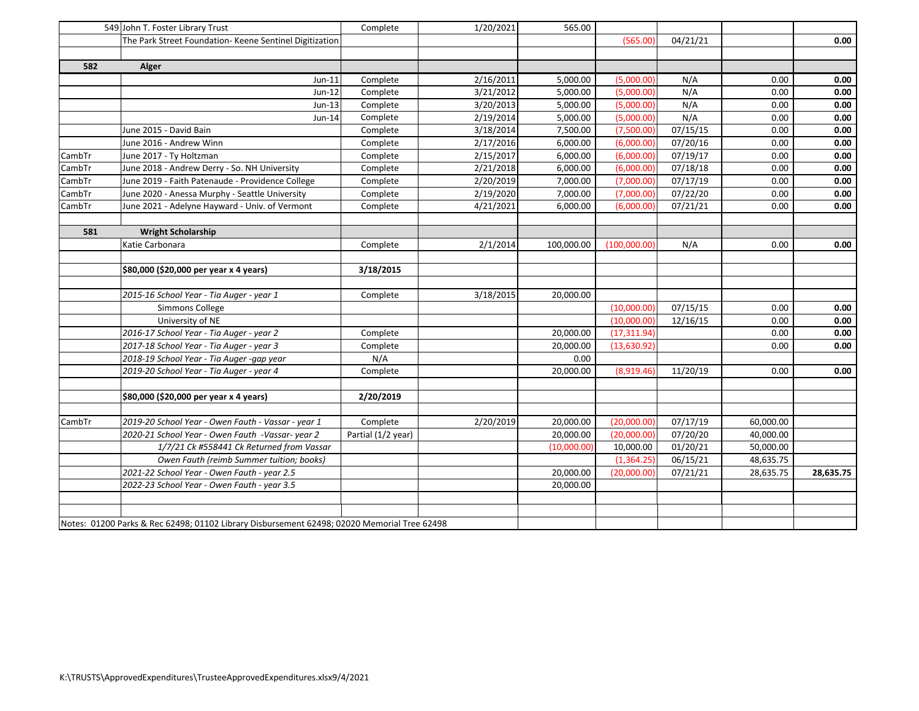|        | 549 John T. Foster Library Trust                                                            | Complete           | 1/20/2021 | 565.00      |              |          |           |           |
|--------|---------------------------------------------------------------------------------------------|--------------------|-----------|-------------|--------------|----------|-----------|-----------|
|        | The Park Street Foundation- Keene Sentinel Digitization                                     |                    |           |             | (565.00)     | 04/21/21 |           | 0.00      |
|        |                                                                                             |                    |           |             |              |          |           |           |
| 582    | Alger                                                                                       |                    |           |             |              |          |           |           |
|        | Jun-11                                                                                      | Complete           | 2/16/2011 | 5,000.00    | (5,000.00)   | N/A      | 0.00      | 0.00      |
|        | Jun-12                                                                                      | Complete           | 3/21/2012 | 5,000.00    | (5,000.00)   | N/A      | 0.00      | 0.00      |
|        | Jun-13                                                                                      | Complete           | 3/20/2013 | 5,000.00    | (5,000.00)   | N/A      | 0.00      | 0.00      |
|        | Jun-14                                                                                      | Complete           | 2/19/2014 | 5,000.00    | (5,000.00)   | N/A      | 0.00      | 0.00      |
|        | June 2015 - David Bain                                                                      | Complete           | 3/18/2014 | 7,500.00    | (7,500.00)   | 07/15/15 | 0.00      | 0.00      |
|        | June 2016 - Andrew Winn                                                                     | Complete           | 2/17/2016 | 6,000.00    | (6,000.00)   | 07/20/16 | 0.00      | 0.00      |
| CambTr | June 2017 - Ty Holtzman                                                                     | Complete           | 2/15/2017 | 6,000.00    | (6,000.00)   | 07/19/17 | 0.00      | 0.00      |
| CambTr | June 2018 - Andrew Derry - So. NH University                                                | Complete           | 2/21/2018 | 6,000.00    | (6,000.00)   | 07/18/18 | 0.00      | 0.00      |
| CambTr | June 2019 - Faith Patenaude - Providence College                                            | Complete           | 2/20/2019 | 7,000.00    | (7,000.00)   | 07/17/19 | 0.00      | 0.00      |
| CambTr | June 2020 - Anessa Murphy - Seattle University                                              | Complete           | 2/19/2020 | 7,000.00    | (7,000.00)   | 07/22/20 | 0.00      | 0.00      |
| CambTr | June 2021 - Adelyne Hayward - Univ. of Vermont                                              | Complete           | 4/21/2021 | 6,000.00    | (6,000.00)   | 07/21/21 | 0.00      | 0.00      |
|        |                                                                                             |                    |           |             |              |          |           |           |
| 581    | <b>Wright Scholarship</b>                                                                   |                    |           |             |              |          |           |           |
|        | Katie Carbonara                                                                             | Complete           | 2/1/2014  | 100,000.00  | (100,000.00) | N/A      | 0.00      | 0.00      |
|        |                                                                                             |                    |           |             |              |          |           |           |
|        | \$80,000 (\$20,000 per year x 4 years)                                                      | 3/18/2015          |           |             |              |          |           |           |
|        |                                                                                             |                    |           |             |              |          |           |           |
|        | 2015-16 School Year - Tia Auger - year 1                                                    | Complete           | 3/18/2015 | 20,000.00   |              |          |           |           |
|        | Simmons College                                                                             |                    |           |             | (10,000.00)  | 07/15/15 | 0.00      | 0.00      |
|        | University of NE                                                                            |                    |           |             | (10,000.00)  | 12/16/15 | 0.00      | 0.00      |
|        | 2016-17 School Year - Tia Auger - year 2                                                    | Complete           |           | 20,000.00   | (17, 311.94) |          | 0.00      | 0.00      |
|        | 2017-18 School Year - Tia Auger - year 3                                                    | Complete           |           | 20,000.00   | (13,630.92)  |          | 0.00      | 0.00      |
|        | 2018-19 School Year - Tia Auger -gap year                                                   | N/A                |           | 0.00        |              |          |           |           |
|        | 2019-20 School Year - Tia Auger - year 4                                                    | Complete           |           | 20,000.00   | (8,919.46)   | 11/20/19 | 0.00      | 0.00      |
|        |                                                                                             |                    |           |             |              |          |           |           |
|        | \$80,000 (\$20,000 per year x 4 years)                                                      | 2/20/2019          |           |             |              |          |           |           |
|        |                                                                                             |                    |           |             |              |          |           |           |
| CambTr | 2019-20 School Year - Owen Fauth - Vassar - year 1                                          | Complete           | 2/20/2019 | 20,000.00   | (20,000.00)  | 07/17/19 | 60,000.00 |           |
|        | 2020-21 School Year - Owen Fauth -Vassar-year 2                                             | Partial (1/2 year) |           | 20,000.00   | (20,000.00)  | 07/20/20 | 40,000.00 |           |
|        | 1/7/21 Ck #558441 Ck Returned from Vassar                                                   |                    |           | (10,000.00) | 10,000.00    | 01/20/21 | 50,000.00 |           |
|        | Owen Fauth (reimb Summer tuition; books)                                                    |                    |           |             | (1,364.25)   | 06/15/21 | 48,635.75 |           |
|        | 2021-22 School Year - Owen Fauth - year 2.5                                                 |                    |           | 20,000.00   | (20,000.00)  | 07/21/21 | 28,635.75 | 28,635.75 |
|        | 2022-23 School Year - Owen Fauth - year 3.5                                                 |                    |           | 20,000.00   |              |          |           |           |
|        |                                                                                             |                    |           |             |              |          |           |           |
|        |                                                                                             |                    |           |             |              |          |           |           |
|        | Notes: 01200 Parks & Rec 62498; 01102 Library Disbursement 62498; 02020 Memorial Tree 62498 |                    |           |             |              |          |           |           |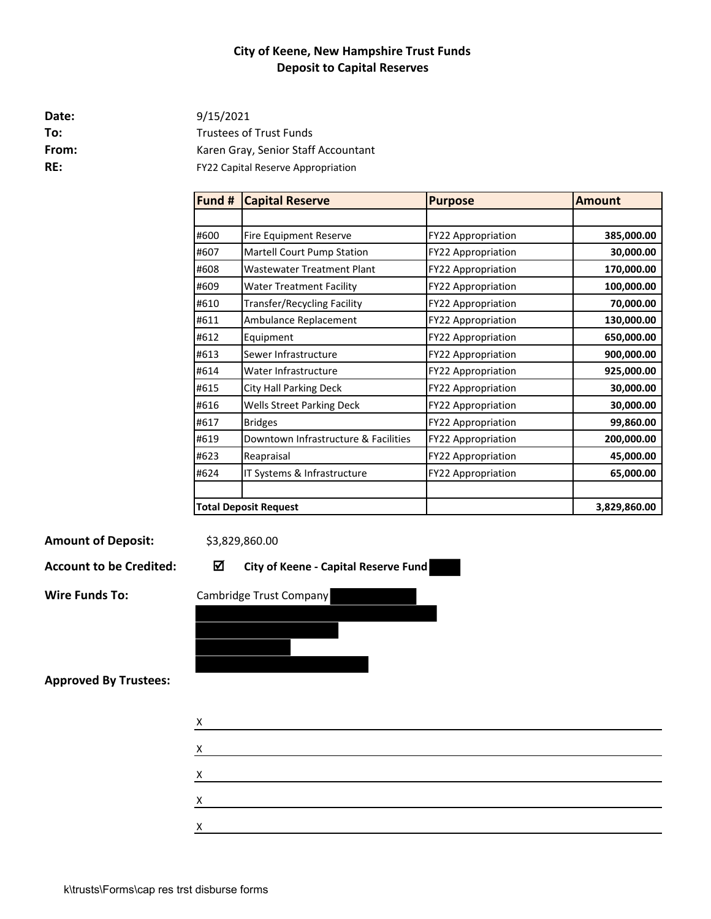# **City of Keene, New Hampshire Trust Funds Deposit to Capital Reserves**

**Date:**

**To:** Trustees of Trust Funds From: Karen Gray, Senior Staff Accountant **RE:** FY22 Capital Reserve Appropriation 9/15/2021

| Fund # | <b>Capital Reserve</b>               | <b>Purpose</b>            | <b>Amount</b> |
|--------|--------------------------------------|---------------------------|---------------|
|        |                                      |                           |               |
| #600   | Fire Equipment Reserve               | FY22 Appropriation        | 385,000.00    |
| #607   | Martell Court Pump Station           | FY22 Appropriation        | 30,000.00     |
| #608   | <b>Wastewater Treatment Plant</b>    | <b>FY22 Appropriation</b> | 170,000.00    |
| #609   | <b>Water Treatment Facility</b>      | <b>FY22 Appropriation</b> | 100,000.00    |
| #610   | Transfer/Recycling Facility          | <b>FY22 Appropriation</b> | 70,000.00     |
| #611   | Ambulance Replacement                | <b>FY22 Appropriation</b> | 130,000.00    |
| #612   | Equipment                            | <b>FY22 Appropriation</b> | 650,000.00    |
| #613   | Sewer Infrastructure                 | <b>FY22 Appropriation</b> | 900,000.00    |
| #614   | Water Infrastructure                 | <b>FY22 Appropriation</b> | 925,000.00    |
| #615   | <b>City Hall Parking Deck</b>        | <b>FY22 Appropriation</b> | 30,000.00     |
| #616   | <b>Wells Street Parking Deck</b>     | <b>FY22 Appropriation</b> | 30,000.00     |
| #617   | <b>Bridges</b>                       | <b>FY22 Appropriation</b> | 99,860.00     |
| #619   | Downtown Infrastructure & Facilities | <b>FY22 Appropriation</b> | 200,000.00    |
| #623   | Reapraisal                           | <b>FY22 Appropriation</b> | 45,000.00     |
| #624   | IT Systems & Infrastructure          | FY22 Appropriation        | 65,000.00     |
|        |                                      |                           |               |
|        | <b>Total Deposit Request</b>         |                           | 3,829,860.00  |

**Amount of Deposit:**

\$3,829,860.00

**Account to be Credited: City of Keene - Capital Reserve Fund** 



**Approved By Trustees:**

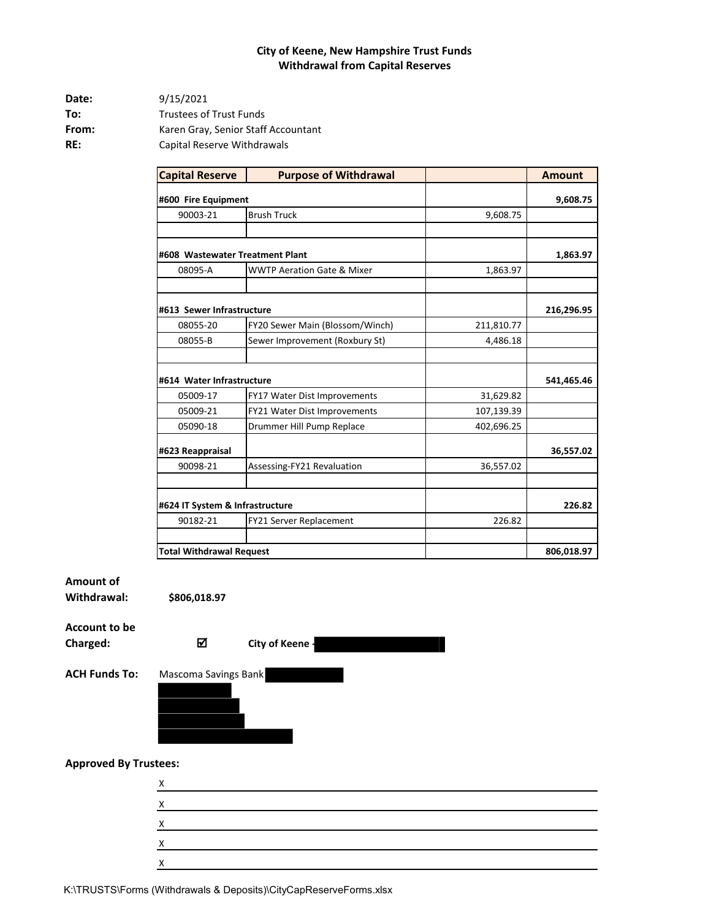#### **City of Keene, New Hampshire Trust Funds Withdrawal from Capital Reserves**

| Date: | 9/15/2021                           |
|-------|-------------------------------------|
| To:   | <b>Trustees of Trust Funds</b>      |
| From: | Karen Gray, Senior Staff Accountant |
| RE:   | Capital Reserve Withdrawals         |

| <b>Capital Reserve</b>          | <b>Purpose of Withdrawal</b>          |            | <b>Amount</b> |
|---------------------------------|---------------------------------------|------------|---------------|
| #600 Fire Equipment             |                                       |            | 9,608.75      |
| 90003-21                        | <b>Brush Truck</b>                    | 9,608.75   |               |
|                                 |                                       |            |               |
| #608 Wastewater Treatment Plant |                                       |            | 1,863.97      |
| 08095-A                         | <b>WWTP Aeration Gate &amp; Mixer</b> | 1,863.97   |               |
|                                 |                                       |            |               |
| #613 Sewer Infrastructure       |                                       |            | 216,296.95    |
| 08055-20                        | FY20 Sewer Main (Blossom/Winch)       | 211,810.77 |               |
| 08055-B                         | Sewer Improvement (Roxbury St)        | 4,486.18   |               |
|                                 |                                       |            |               |
| #614 Water Infrastructure       |                                       |            | 541,465.46    |
| 05009-17                        | FY17 Water Dist Improvements          | 31,629.82  |               |
| 05009-21                        | FY21 Water Dist Improvements          | 107,139.39 |               |
| 05090-18                        | Drummer Hill Pump Replace             | 402,696.25 |               |
| #623 Reappraisal                |                                       |            | 36,557.02     |
| 90098-21                        | Assessing-FY21 Revaluation            | 36,557.02  |               |
|                                 |                                       |            |               |
| #624 IT System & Infrastructure |                                       |            | 226.82        |
| 90182-21                        | FY21 Server Replacement               | 226.82     |               |
|                                 |                                       |            |               |
| <b>Total Withdrawal Request</b> |                                       |            | 806,018.97    |

**Amount of** 

**Withdrawal:**

**Account to be** 

**Charged: City of Keene -**

**\$806,018.97**



#### **Approved By Trustees:**

| $\lambda$ |  |  |
|-----------|--|--|
|           |  |  |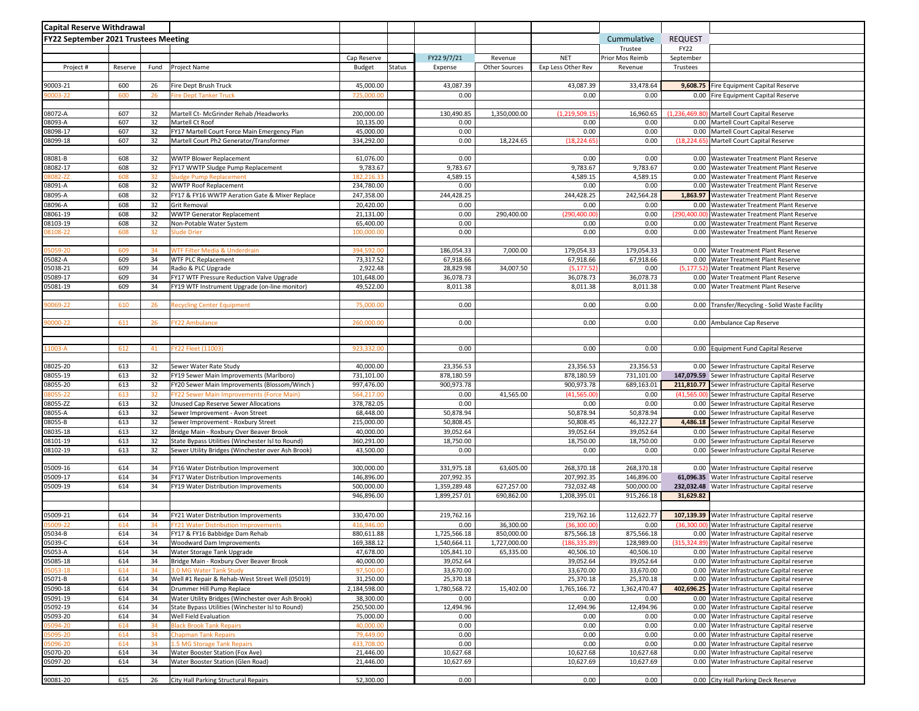| <b>Capital Reserve Withdrawal</b>           |            |          |                                                                    |                         |        |                         |               |                         |                         |                     |                                                                                              |
|---------------------------------------------|------------|----------|--------------------------------------------------------------------|-------------------------|--------|-------------------------|---------------|-------------------------|-------------------------|---------------------|----------------------------------------------------------------------------------------------|
| <b>FY22 September 2021 Trustees Meeting</b> |            |          |                                                                    |                         |        |                         |               |                         | Cummulative             | <b>REQUEST</b>      |                                                                                              |
|                                             |            |          |                                                                    |                         |        |                         |               |                         | Trustee                 | <b>FY22</b>         |                                                                                              |
|                                             |            |          |                                                                    | Cap Reserve             |        | FY22 9/7/21             | Revenue       | <b>NET</b>              | Prior Mos Reimb         | September           |                                                                                              |
| Project #                                   | Reserve    | Fund     | Project Name                                                       | Budget                  | Status | Expense                 | Other Sources | Exp Less Other Rev      | Revenue                 | Trustees            |                                                                                              |
|                                             |            |          |                                                                    |                         |        |                         |               |                         |                         |                     |                                                                                              |
| 90003-21                                    | 600        | 26       | Fire Dept Brush Truck                                              | 45,000.00               |        | 43,087.39               |               | 43,087.39               | 33,478.64               | 9,608.75            | Fire Equipment Capital Reserve                                                               |
| 0003-22                                     | 600        | 26       | <b>Fire Dept Tanker Truck</b>                                      | 725,000.00              |        | 0.00                    |               | 0.00                    | 0.00                    |                     | 0.00 Fire Equipment Capital Reserve                                                          |
|                                             | 607        | 32       |                                                                    |                         |        |                         |               | (1, 219, 509.15         | 16,960.65               | (1.236.469.80       |                                                                                              |
| 08072-A<br>08093-A                          | 607        | 32       | Martell Ct- McGrinder Rehab /Headworks<br>Martell Ct Roof          | 200,000.00<br>10,135.00 |        | 130,490.85<br>0.00      | 1,350,000.00  | 0.00                    | 0.00                    |                     | Martell Court Capital Reserve<br>0.00 Martell Court Capital Reserve                          |
| 08098-17                                    | 607        | 32       | FY17 Martell Court Force Main Emergency Plan                       | 45,000.00               |        | 0.00                    |               | 0.00                    | 0.00                    | 0.00                | Martell Court Capital Reserve                                                                |
| 08099-18                                    | 607        | 32       | Martell Court Ph2 Generator/Transformer                            | 334,292.00              |        | 0.00                    | 18,224.65     | (18, 224.65)            | 0.00                    | (18, 224.65)        | Martell Court Capital Reserve                                                                |
|                                             |            |          |                                                                    |                         |        |                         |               |                         |                         |                     |                                                                                              |
| 08081-B                                     | 608        | 32       | <b>WWTP Blower Replacement</b>                                     | 61,076.00               |        | 0.00                    |               | 0.00                    | 0.00                    | 0.00                | Wastewater Treatment Plant Reserve                                                           |
| 08082-17                                    | 608        | 32       | FY17 WWTP Sludge Pump Replacement                                  | 9,783.67                |        | 9,783.67                |               | 9,783.67                | 9,783.67                | 0.00                | Wastewater Treatment Plant Reserve                                                           |
| 8082-ZZ                                     | 608        | 32       | Sludge Pump Replacement                                            | 182,216.33              |        | 4,589.15                |               | 4,589.15                | 4,589.15                | 0.00                | Wastewater Treatment Plant Reserve                                                           |
| 08091-A                                     | 608        | 32       | <b>WWTP Roof Replacement</b>                                       | 234,780.00              |        | 0.00                    |               | 0.00                    | 0.00                    | 0.00                | <b>Wastewater Treatment Plant Reserve</b>                                                    |
| 08095-A                                     | 608        | 32       | FY17 & FY16 WWTP Aeration Gate & Mixer Replace                     | 247,358.00              |        | 244,428.25              |               | 244,428.25              | 242,564.28              | 1,863.97            | <b>Wastewater Treatment Plant Reserve</b>                                                    |
| 08096-A<br>08061-19                         | 608<br>608 | 32<br>32 | Grit Removal                                                       | 20,420.00               |        | 0.00<br>0.00            |               | 0.00<br>(290,400.00     | 0.00<br>0.00            | 0.00<br>(290,400.00 | Wastewater Treatment Plant Reserve                                                           |
| 08103-19                                    | 608        | 32       | <b>WWTP Generator Replacement</b><br>Non-Potable Water System      | 21,131.00<br>65,400.00  |        | 0.00                    | 290,400.00    | 0.00                    | 0.00                    | 0.00                | Wastewater Treatment Plant Reserve<br><b>Wastewater Treatment Plant Reserve</b>              |
| 8108-22                                     | 608        | 32       | <b>Slude Drier</b>                                                 | 100,000.00              |        | 0.00                    |               | 0.00                    | 0.00                    | 0.00                | Wastewater Treatment Plant Reserve                                                           |
|                                             |            |          |                                                                    |                         |        |                         |               |                         |                         |                     |                                                                                              |
| 5059-20                                     | 609        | 34       | WTF Filter Media & Underdrain                                      | 394,592.00              |        | 186.054.33              | 7,000.00      | 179,054.33              | 179,054.33              | 0.00                | Water Treatment Plant Reserve                                                                |
| 05082-A                                     | 609        | 34       | <b>WTF PLC Replacement</b>                                         | 73,317.52               |        | 67,918.66               |               | 67,918.66               | 67,918.66               | 0.00                | <b>Water Treatment Plant Reserve</b>                                                         |
| 05038-21                                    | 609        | 34       | Radio & PLC Upgrade                                                | 2,922.48                |        | 28,829.98               | 34,007.50     | (5, 177.52)             | 0.00                    | (5, 177.52)         | Water Treatment Plant Reserve                                                                |
| 05089-17                                    | 609        | 34       | FY17 WTF Pressure Reduction Valve Upgrade                          | 101,648.00              |        | 36,078.73               |               | 36,078.73               | 36,078.73               | 0.00                | Water Treatment Plant Reserve                                                                |
| 05081-19                                    | 609        | 34       | FY19 WTF Instrument Upgrade (on-line monitor)                      | 49,522.00               |        | 8,011.38                |               | 8,011.38                | 8,011.38                |                     | 0.00 Water Treatment Plant Reserve                                                           |
| 0069-22                                     | 610        | 26       | <b>Recycling Center Equipment</b>                                  | 75,000.00               |        | 0.00                    |               | 0.00                    | 0.00                    |                     | 0.00 Transfer/Recycling - Solid Waste Facility                                               |
|                                             |            |          |                                                                    |                         |        |                         |               |                         |                         |                     |                                                                                              |
| 0000-22                                     | 611        | 26       | <b>FY22 Ambulance</b>                                              | 260,000.00              |        | 0.00                    |               | 0.00                    | 0.00                    | 0.00                | Ambulance Cap Reserve                                                                        |
|                                             |            |          |                                                                    |                         |        |                         |               |                         |                         |                     |                                                                                              |
|                                             |            |          |                                                                    |                         |        |                         |               |                         |                         |                     |                                                                                              |
| 1003-A                                      | 612        | 41       | FY22 Fleet (11003)                                                 | 923,332.00              |        | 0.00                    |               | 0.00                    | 0.00                    |                     | 0.00 Equipment Fund Capital Reserve                                                          |
|                                             |            |          |                                                                    |                         |        |                         |               |                         |                         |                     |                                                                                              |
| 08025-20<br>08055-19                        | 613<br>613 | 32<br>32 | Sewer Water Rate Study<br>FY19 Sewer Main Improvements (Marlboro)  | 40,000.00<br>731,101.00 |        | 23,356.53<br>878,180.59 |               | 23,356.53<br>878,180.59 | 23,356.53<br>731,101.00 |                     | 0.00 Sewer Infrastructure Capital Reserve<br>147,079.59 Sewer Infrastructure Capital Reserve |
| 08055-20                                    | 613        | 32       | FY20 Sewer Main Improvements (Blossom/Winch)                       | 997,476.00              |        | 900,973.78              |               | 900,973.78              | 689,163.01              |                     | 211,810.77 Sewer Infrastructure Capital Reserve                                              |
| 3055-22                                     | 613        | 32       | FY22 Sewer Main Improvements (Force Main                           | 564,217.00              |        | 0.00                    | 41,565.00     | (41, 565.00)            | 0.00                    | (41,565.00)         | Sewer Infrastructure Capital Reserve                                                         |
| 08055-ZZ                                    | 613        | 32       | Unused Cap Reserve Sewer Allocations                               | 378,782.05              |        | 0.00                    |               | 0.00                    | 0.00                    |                     | 0.00 Sewer Infrastructure Capital Reserve                                                    |
| 08055-A                                     | 613        | 32       | Sewer Improvement - Avon Street                                    | 68,448.00               |        | 50,878.94               |               | 50,878.94               | 50,878.94               | 0.00                | Sewer Infrastructure Capital Reserve                                                         |
| 08055-B                                     | 613        | 32       | Sewer Improvement - Roxbury Street                                 | 215,000.00              |        | 50,808.45               |               | 50,808.45               | 46,322.27               |                     | 4,486.18 Sewer Infrastructure Capital Reserve                                                |
| 08035-18                                    | 613        | 32       | Bridge Main - Roxbury Over Beaver Brook                            | 40,000.00               |        | 39,052.64               |               | 39,052.64               | 39,052.64               |                     | 0.00 Sewer Infrastructure Capital Reserve                                                    |
| 08101-19                                    | 613        | 32       | State Bypass Utilities (Winchester Isl to Round)                   | 360,291.00              |        | 18,750.00               |               | 18,750.00               | 18,750.00               | 0.00                | Sewer Infrastructure Capital Reserve                                                         |
| 08102-19                                    | 613        | 32       | Sewer Utility Bridges (Winchester over Ash Brook)                  | 43,500.00               |        | 0.00                    |               | 0.00                    | 0.00                    |                     | 0.00 Sewer Infrastructure Capital Reserve                                                    |
|                                             | 614        | 34       | FY16 Water Distribution Improvement                                | 300,000.00              |        | 331,975.18              | 63,605.00     | 268,370.18              | 268,370.18              |                     | 0.00 Water Infrastructure Capital reserve                                                    |
| 05009-16<br>05009-17                        | 614        | 34       | FY17 Water Distribution Improvements                               | 146,896.00              |        | 207,992.35              |               | 207,992.35              | 146,896.00              |                     | 61,096.35 Water Infrastructure Capital reserve                                               |
| 05009-19                                    | 614        | 34       | FY19 Water Distribution Improvements                               | 500,000.00              |        | 1,359,289.48            | 627,257.00    | 732,032.48              | 500,000.00              |                     | 232,032.48 Water Infrastructure Capital reserve                                              |
|                                             |            |          |                                                                    | 946,896.00              |        | 1,899,257.01            | 690,862.00    | 1,208,395.01            | 915,266.18              | 31,629.82           |                                                                                              |
|                                             |            |          |                                                                    |                         |        |                         |               |                         |                         |                     |                                                                                              |
| 05009-21                                    | 614        | 34       | FY21 Water Distribution Improvements                               | 330,470.00              |        | 219,762.16              |               | 219,762.16              | 112,622.77              |                     | 107,139.39 Water Infrastructure Capital reserve                                              |
| 5009-22                                     | 614        | 34       | <b>FY21 Water Distribution Improvements</b>                        | 416,946.00              |        | 0.00                    | 36,300.00     | (36, 300.00)            | 0.00                    | (36,300.00)         | Water Infrastructure Capital reserve                                                         |
| 05034-B                                     | 614        | 34       | FY17 & FY16 Babbidge Dam Rehab                                     | 880,611.88              |        | 1,725,566.18            | 850.000.00    | 875,566.18              | 875,566.18              |                     | 0.00 Water Infrastructure Capital reserve                                                    |
| 05039-C                                     | 614        | 34       | Woodward Dam Improvements                                          | 169,388.12              |        | 1,540,664.11            | 1,727,000.00  | (186,335.89             | 128,989.00              |                     | (315,324.89) Water Infrastructure Capital reserve                                            |
| 05053-A                                     | 614        | 34       | Water Storage Tank Upgrade                                         | 47,678.00               |        | 105,841.10              | 65,335.00     | 40,506.10               | 40,506.10               |                     | 0.00 Water Infrastructure Capital reserve                                                    |
| 05085-18<br>05053-18                        | 614<br>614 | 34<br>34 | Bridge Main - Roxbury Over Beaver Brook<br>3.0 MG Water Tank Study | 40,000.00<br>97,500.00  |        | 39,052.64<br>33,670.00  |               | 39,052.64<br>33,670.00  | 39,052.64<br>33,670.00  |                     | 0.00 Water Infrastructure Capital reserve<br>0.00 Water Infrastructure Capital reserve       |
| 05071-B                                     | 614        | 34       | Well #1 Repair & Rehab-West Street Well (05019)                    | 31,250.00               |        | 25,370.18               |               | 25,370.18               | 25,370.18               |                     | 0.00 Water Infrastructure Capital reserve                                                    |
| 05090-18                                    | 614        | 34       | Drummer Hill Pump Replace                                          | 2,184,598.00            |        | 1,780,568.72            | 15,402.00     | 1,765,166.72            | 1,362,470.47            |                     | 402,696.25 Water Infrastructure Capital reserve                                              |
| 05091-19                                    | 614        | 34       | Water Utility Bridges (Winchester over Ash Brook)                  | 38,300.00               |        | 0.00                    |               | 0.00                    | 0.00                    |                     | 0.00 Water Infrastructure Capital reserve                                                    |
| 05092-19                                    | 614        | 34       | State Bypass Utilities (Winchester Isl to Round)                   | 250,500.00              |        | 12,494.96               |               | 12,494.96               | 12,494.96               |                     | 0.00 Water Infrastructure Capital reserve                                                    |
| 05093-20                                    | 614        | 34       | Well Field Evaluation                                              | 75,000.00               |        | 0.00                    |               | 0.00                    | 0.00                    |                     | 0.00 Water Infrastructure Capital reserve                                                    |
| 5094-20                                     | 614        | 34       | <b>Black Brook Tank Repairs</b>                                    | 40,000.00               |        | 0.00                    |               | 0.00                    | 0.00                    |                     | 0.00 Water Infrastructure Capital reserve                                                    |
| 5095-20                                     | 614        | 34       | <b>Chapman Tank Repairs</b>                                        | 79,449.00               |        | 0.00                    |               | 0.00                    | 0.00                    |                     | 0.00 Water Infrastructure Capital reserve                                                    |
| 15096-20                                    | 614        | 34       | 1.5 MG Storage Tank Repairs                                        | 433,708.00              |        | 0.00                    |               | 0.00                    | 0.00                    |                     | 0.00 Water Infrastructure Capital reserve                                                    |
| 05070-20                                    | 614        | 34       | Water Booster Station (Fox Ave)                                    | 21,446.00               |        | 10,627.68               |               | 10,627.68               | 10,627.68               |                     | 0.00 Water Infrastructure Capital reserve                                                    |
| 05097-20                                    | 614        | 34       | Water Booster Station (Glen Road)                                  | 21,446.00               |        | 10,627.69               |               | 10,627.69               | 10,627.69               |                     | 0.00 Water Infrastructure Capital reserve                                                    |
| 90081-20                                    | 615        | 26       | City Hall Parking Structural Repairs                               | 52,300.00               |        | 0.00                    |               | 0.00                    | 0.00                    |                     | 0.00 City Hall Parking Deck Reserve                                                          |
|                                             |            |          |                                                                    |                         |        |                         |               |                         |                         |                     |                                                                                              |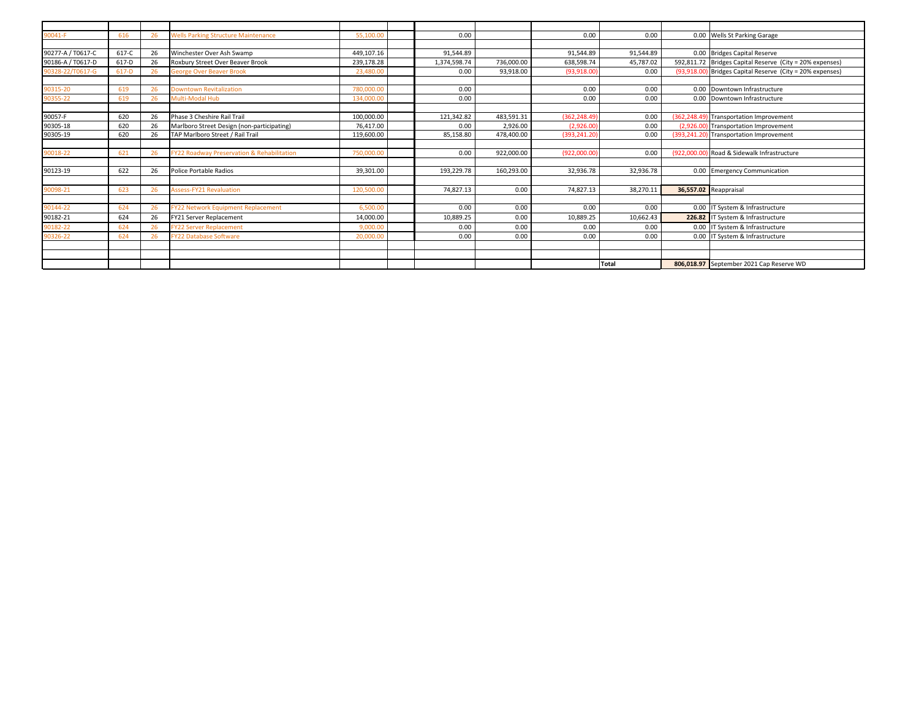| 90041-F           | 616   | 26 | <b>Wells Parking Structure Maintenance</b> | 55,100.00  | 0.00         |            | 0.00          | 0.00      | 0.00 Wells St Parking Garage                              |
|-------------------|-------|----|--------------------------------------------|------------|--------------|------------|---------------|-----------|-----------------------------------------------------------|
|                   |       |    |                                            |            |              |            |               |           |                                                           |
| 90277-A / T0617-C | 617-C | 26 | Winchester Over Ash Swamp                  | 449.107.16 | 91.544.89    |            | 91.544.89     | 91,544.89 | 0.00 Bridges Capital Reserve                              |
| 90186-A / T0617-D | 617-D | 26 | Roxbury Street Over Beaver Brook           | 239.178.28 | 1,374,598.74 | 736.000.00 | 638.598.74    | 45,787.02 | 592,811.72 Bridges Capital Reserve (City = 20% expenses)  |
| 90328-22/T0617-G  | 617-D | 26 | <b>George Over Beaver Brook</b>            | 23,480.00  | 0.00         | 93,918.00  | (93,918.00)   | 0.00      | (93,918.00) Bridges Capital Reserve (City = 20% expenses) |
|                   |       |    |                                            |            |              |            |               |           |                                                           |
| 90315-20          | 619   | 26 | <b>Downtown Revitalization</b>             | 780,000,00 | 0.00         |            | 0.00          | 0.00      | 0.00 Downtown Infrastructure                              |
| 90355-22          | 619   | 26 | <b>Multi-Modal Hub</b>                     | 134,000.00 | 0.00         |            | 0.00          | 0.00      | 0.00 Downtown Infrastructure                              |
|                   |       |    |                                            |            |              |            |               |           |                                                           |
| 90057-F           | 620   | 26 | Phase 3 Cheshire Rail Trail                | 100,000.00 | 121,342.82   | 483,591.31 | (362, 248.49) | 0.00      | (362,248.49) Transportation Improvement                   |
| 90305-18          | 620   | 26 | Marlboro Street Design (non-participating) | 76.417.00  | 0.00         | 2.926.00   | (2.926.00)    | 0.00      | (2,926.00) Transportation Improvement                     |
| 90305-19          | 620   | 26 | TAP Marlboro Street / Rail Trail           | 119,600.00 | 85.158.80    | 478.400.00 | (393.241.20)  | 0.00      | (393,241.20) Transportation Improvement                   |
|                   |       |    |                                            |            |              |            |               |           |                                                           |
| 90018-22          | 621   | 26 | FY22 Roadway Preservation & Rehabilitation | 750,000.00 | 0.00         | 922.000.00 | (922,000.00)  | 0.00      | (922,000,00) Road & Sidewalk Infrastructure               |
|                   |       |    |                                            |            |              |            |               |           |                                                           |
| 90123-19          | 622   | 26 | <b>Police Portable Radios</b>              | 39,301.00  | 193,229.78   | 160,293.00 | 32,936.78     | 32,936.78 | 0.00 Emergency Communication                              |
|                   |       |    |                                            |            |              |            |               |           |                                                           |
| 90098-21          | 623   | 26 | <b>Assess-FY21 Revaluation</b>             | 120,500.00 | 74.827.13    | 0.00       | 74.827.13     | 38,270.11 | 36,557.02 Reappraisal                                     |
|                   |       |    |                                            |            |              |            |               |           |                                                           |
| 90144-22          | 624   | 26 | FY22 Network Equipment Replacement         | 6.500.00   | 0.00         | 0.00       | 0.00          | 0.00      | 0.00 IT System & Infrastructure                           |
| 90182-21          | 624   | 26 | FY21 Server Replacement                    | 14,000.00  | 10,889.25    | 0.00       | 10,889.25     | 10,662.43 | 226.82 IT System & Infrastructure                         |
| 90182-22          | 624   | 26 | <b>FY22 Server Replacement</b>             | 9,000.00   | 0.00         | 0.00       | 0.00          | 0.00      | 0.00 IT System & Infrastructure                           |
| 90326-22          | 624   | 26 | <b>FY22 Database Software</b>              | 20,000,00  | 0.00         | 0.00       | 0.00          | 0.00      | 0.00 IT System & Infrastructure                           |
|                   |       |    |                                            |            |              |            |               |           |                                                           |
|                   |       |    |                                            |            |              |            |               |           |                                                           |
|                   |       |    |                                            |            |              |            |               | Total     | 806,018.97 September 2021 Cap Reserve WD                  |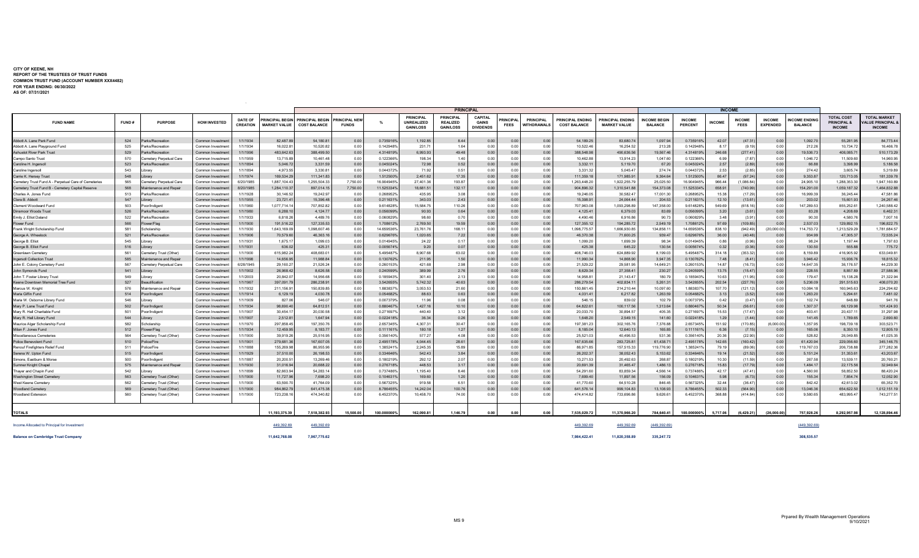#### **CITY OF KEENE, NH REPORT OF THE TRUSTEES OF TRUST FUNDS COMMON TRUST FUND (ACCOUNT NUMBER XXX4482) FOR YEAR ENDING: 06/30/2022 AS OF: 07/31/2021**

 $\mathcal{L}^{\mathcal{L}}(\mathcal{A})$  .

|                                                      |       |                         |                     |                                   |                                            | <b>PRINCIPAL</b>                              |                                    |               |                                                    |                                                         |                                                    | <b>INCOME</b>          |                                        |                                                |                                               |                                       |                          |               |                              |                                  |                                       |                                                          |                                                               |
|------------------------------------------------------|-------|-------------------------|---------------------|-----------------------------------|--------------------------------------------|-----------------------------------------------|------------------------------------|---------------|----------------------------------------------------|---------------------------------------------------------|----------------------------------------------------|------------------------|----------------------------------------|------------------------------------------------|-----------------------------------------------|---------------------------------------|--------------------------|---------------|------------------------------|----------------------------------|---------------------------------------|----------------------------------------------------------|---------------------------------------------------------------|
| <b>FUND NAME</b>                                     | FUND# | <b>PURPOSE</b>          | <b>HOW INVESTED</b> | <b>DATE OF</b><br><b>CREATION</b> | <b>RINCIPAL BEG</b><br><b>MARKET VALUE</b> | <b>PRINCIPAL BEGIN</b><br><b>COST BALANCE</b> | <b>RINCIPAL NE</b><br><b>FUNDS</b> | $O_{\Lambda}$ | <b>PRINCIPAL</b><br>UNREALIZED<br><b>GAIN/LOSS</b> | <b>PRINCIPAL</b><br><b>REALIZED</b><br><b>GAIN/LOSS</b> | <b>CAPITAL</b><br><b>GAINS</b><br><b>DIVIDENDS</b> | RINCIPA<br><b>FEES</b> | <b>PRINCIPAL</b><br><b>WITHDRAWALS</b> | <b>PRINCIPAL ENDING</b><br><b>COST BALANCE</b> | <b>RINCIPAL ENDING</b><br><b>MARKET VALUE</b> | <b>INCOME BEGIN</b><br><b>BALANCE</b> | <b>INCOME</b><br>PERCENT | <b>INCOME</b> | <b>INCOME</b><br><b>FEES</b> | <b>INCOME</b><br><b>EXPENDED</b> | <b>NCOME ENDING</b><br><b>BALANCE</b> | <b>TOTAL COST</b><br><b>PRINCIPAL 8</b><br><b>INCOME</b> | <b>TOTAL MARKET</b><br><b>ILUE PRINCIPAL</b><br><b>INCOME</b> |
| Abbott A. Lane Park Fund                             | 524   | Parks/Recreation        | Common Investment   | 1/1/1934                          | 82,487.                                    | 54,180.81                                     | 0.00                               | 0.735916%     | 1,192.85                                           | 8.44                                                    | 0.00                                               | 0.00                   | 0.00                                   | 54,189.25                                      | 83,680.74                                     | 1,097.9                               | 0.7359169                | 42.07         | (47.31)                      | 0.00                             | 1,092.70                              | 55,281.                                                  | 84,773.4                                                      |
| Abbott A. Lane Playground Fund                       | 525   | Parks/Recreation        | Common Investmen    | 1/1/1934                          | 16.022.8                                   | 10.520.82                                     | 0.00                               | 0.142948%     | 231.7'                                             | 16                                                      | 0.00                                               | 0.01                   | 0.00                                   | 10.522.46                                      | 16,254.5                                      | 213.28                                | 0.142948%                | 81            | (9.19)                       | 0.00                             | 212.26                                | 10.734.7                                                 | 16,466.7                                                      |
| <b>Ashuelot River Park Trust</b>                     | 529   | Parks/Recreation        | Common Investmen    | 1/1/1996                          | 483,642.6                                  | 388,499.50                                    | 0.00                               | 4.314819%     | 6,993.93                                           | 49.48                                                   | 0.00                                               | 0.00                   | 0.00                                   | 388,548.98                                     | 490,636.5                                     | 19,567.46                             | 4.314819%                | 246.68        | (277.41)                     | 0.00                             | 19,536.73                             | 408,085.7                                                | 510,173.2                                                     |
| Campo Santo Trust                                    | 570   | emetery Perpetual Care  | Common Investment   | 1/1/1959                          | 13,715.8                                   | 10.461.48                                     | 0.00                               | 0.122366%     | 198.34                                             | 140                                                     | 0.00                                               | 0.00                   | 0.00                                   | 10.462.88                                      | 13,914.2                                      | 1,047.60                              | 0.122366%                | 6.99          | (7.87)                       | 0.00                             | 1,046.72                              | 11,509.6                                                 | 14,960.9                                                      |
| Caroline H. Ingersoll                                | 523   | Parks/Recreation        | Common Investment   | 1/1/1894                          | 5,046.7                                    | 3,331.59                                      | 0.00                               | 0.045024%     | 72.98                                              | 0.52                                                    | 0.00                                               | 0.00                   | 0.00                                   | 3,332.1                                        | 5,119.7                                       | 67.20                                 | 0.045024%                | 2.57          | (2.89)                       | 0.00                             | 66.88                                 | 3,398.9                                                  | 5,186.5                                                       |
| Caroline Ingersoll                                   | 543   | ibrarv                  | Common Investment   | 1/1/1894                          | 4.973.5                                    | 3,330.81                                      | 0.00                               | 0.044372%     | 71.92                                              | $0.5^{\circ}$                                           | 0.00                                               | 0.00                   | 0.00                                   | 3,331.32                                       | 5,045.4                                       | 274.74                                | 0.044372%                | 2.53          | (2.85)                       | 0.00                             | 274.42                                | 3.605.7                                                  | 5,319.8                                                       |
| Carrie K. Hersey Trust                               | 548   | ibrarv                  | Common Investment   | 1/1/1974                          | 169,534.2                                  | 111,341.83                                    | 0.00                               | 1.512500%     | 2,451.62                                           | 17.35                                                   | 0.00                                               | 0.00                   | 0.00                                   | 111,359.18                                     | 171,985.9                                     | 9,364.64                              | 1.512500%                | 86.47         | (97.24)                      | 0.00                             | 9,353.87                              | 120,713.0                                                | 181,339.78                                                    |
| Cemetery Trust Fund A - Perpetual Care of Cemeteries | 565   | emetery Perpetual Care  | Common Investment   | 6/20/1985                         | 1.887.104.4                                | 1,255,504.33                                  | 7,750.00                           | 16.904945%    | 27.401.36                                          | 193.87                                                  | 0.00                                               | 0.00                   | 0.00                                   | 1.263.448.20                                   | 1,922,255.79                                  | 25,025.50                             | 16.904945%               | 966.44        | (1,086.84)                   | 0.00                             | 24.905.1                              | 1,288,353.3                                              | 1,947,160.8                                                   |
| Cemetery Trust Fund B - Cemetery Capital Reserve     | 568   | Maintenance and Repair  | Common Investment   | 8/20/1985                         | 1.284.110.3                                | 897,014.15                                    | 7,750.00                           | 11.525334%    | 18.681.5                                           | 132.17                                                  | 0.00                                               | 0.00                   | 0.00                                   | 904.896.32                                     | 1,310,541.8                                   | 154,373.08                            | 11.525334%               | 658.9         | (740.99)                     | 0.00                             | 154,291.00                            | 1,059,187.3                                              | 1,464,832.8                                                   |
| Charles A. Jones Fund                                | 513   | Parks/Recreation        | Common Investment   | 1/1/1928                          | 30,146.5                                   | 19,242.97                                     | 0.00                               | 0.268952%     | 435.95                                             | 3.01                                                    | 00                                                 | 0.00                   | 0.00                                   | 19,246.05                                      | 30,582.4                                      | 17,001.30                             | 0.268952%                | 15.38         | (17.29)                      | 0.00                             | 16,999.39                             | 36,245.4                                                 | 47,581.8                                                      |
| Clara B. Abbott                                      | 547   | .ibrary                 | Common Investment   | 1/1/1955                          | 23,721.4                                   | 15,396.48                                     | 0.00                               | 0.211631%     | 343.03                                             | 2.43                                                    | 0.00                                               | 0.00                   | 0.00                                   | 15,398.9                                       | 24,064.4                                      | 204.53                                | 0.211631%                | 12.10         | (13.61)                      | 0.00                             | 203.02                                | 15,601.9                                                 | 24,267.4                                                      |
| Clement Woodward Fund                                | 503   | Poor/Indigent           | Common Investment   | 1/1/1960                          | 1.077.714.1                                | 707.852.82                                    | 0.00                               | 9.614828%     | 15.584.75                                          | 110.26                                                  | 0.00                                               | 0.00                   | 0.00                                   | 707.963.08                                     | 1.093.298.8                                   | 147.358.00                            | 9.614828%                | 549.69        | (618.16)                     | 0.00                             | 147.289.53                            | 855.252.6                                                | 1,240,588.42                                                  |
| <b>Dinsmoor Woods Trust</b>                          | 526   | Parks/Recreation        | Common Investment   | 1/1/1980                          | 6,288.1                                    | 4,124.77                                      | 0.00                               | 0.056099%     | 90.93                                              | 0.64                                                    | 0.00                                               | 0.00                   | 0.00                                   | 4,125.41                                       | 6,379.0                                       | 83.69                                 | 0.056099%                | 3.20          | (3.61)                       | 0.00                             | 83.28                                 | 4,208.6                                                  | 6,462.3                                                       |
| Emily J. Elliot Daland                               | 522   | Parks/Recreation        | Common Investment   | 1/1/1933                          | 6,818.2                                    | 4,489.76                                      | 0.00                               | 0.060829%     | 98.60                                              | 0.70                                                    | 0.00                                               | 0.00                   | 0.00                                   | 4,490.46                                       | 6,916.8                                       | 90.73                                 | 0.060829%                | 3.48          | (3.91)                       | 0.00                             | 90.30                                 | 4,580.7                                                  | 7,007.1                                                       |
| Flower Fund                                          | 566   | Flower/Flag             | Common Investment   | 1/1/1900                          | 191,516.2                                  | 127,335.53                                    | 0.00                               | 1.708612%     | 2,769.50                                           | 19.59                                                   | 0.00                                               | 0.00                   | 0.00                                   | 127.355.12                                     | 194,285.7                                     | 2,549.19                              | 1.708612%                | 97.69         | (109.85)                     | 0.00                             | 2,537.03                              | 129,892.1                                                | 196,822.7                                                     |
| Frank Wright Scholarship Fund                        | 581   | Scholarship             | Common Investment   | 1/1/1930                          | 1,643,169.0                                | 1,098,607.46                                  | 0.00                               | 14.659536%    | 23,761.76                                          | 168.1                                                   | 0.00                                               | 0.00                   | 0.00                                   | 1,098,775.57                                   | 1,666,930.8                                   | 134,858.1                             | 14.659536%               | 838.10        | (942.49)                     | 20,000.00                        | 114,753.72                            | 1,213,529.2                                              | 1,781,684.5                                                   |
| George A. Wheelock                                   | 521   | Parks/Recreation        | Common Investment   | 1/1/1906                          | 70,579.6                                   | 46,363.16                                     | 0.00                               | 0.629676%     | 1,020.65                                           | 7.22                                                    | 0.00                                               | 0.00                   | 0.00                                   | 46,370.38                                      | 71,600.25                                     | 939.47                                | 0.629676%                | 36.00         | (40.48)                      | 0.00                             | 934.99                                | 47,305.3                                                 | 72,535.24                                                     |
| George B. Elliot                                     | 545   | ibrary                  | Common Investment   | 1/1/1931                          | 1.675.1                                    | 1.099.03                                      | 0.00                               | 0.014945%     | 24.22                                              | 0.17                                                    | 0.00                                               | 0.00                   | 0.00                                   | 1.099.20                                       | 1,699.39                                      | 98.34                                 | 0.014945%                | 0.86          | (0.96)                       | 0.00                             | 98.24                                 | 1.197.4                                                  | 1,797.6                                                       |
| George B. Elliot Fund                                | 516   | .ibrary                 | Common Investment   | 1/1/1931                          | 636.0                                      | 425.31                                        | 0.00                               | 0.005674%     | 9.20                                               | 0.07                                                    | 0.00                                               | 0.00                   | 0.00                                   | 425.38                                         | 645.22                                        | 130.54                                | 0.005674%                | 0.32          | (0.36)                       | 0.00                             | 130.50                                | 555.8                                                    | 775.7                                                         |
| Greenlawn Cemeterv                                   | 561   | Cemetery Trust (Other)  | Common Investment   | 1/1/1900                          | 615.982.2                                  | 408.683.01                                    | 0.00                               | 5.495487%     | 8.907.68                                           | 63.02                                                   |                                                    | 0.00                   | 0.00                                   | 408.746.03                                     | 624.889.92                                    | 8.199.03                              | 5.495487%                | 314.1         | (353.32)                     | 0.00                             | 8.159.89                              | 416.905.9                                                | 633,049.8                                                     |
| <b>Ingersoll Collection Trus</b>                     | 585   | Maintenance and Repair  | Common Investment   | 1/1/1998                          | 14,656.9                                   | 11,988.84                                     | 0.00                               | 0.130762%     | 211.95                                             | 1.50                                                    | 0.00                                               | 0.00                   | 0.00                                   | 11,990.34                                      | 14,868.9                                      | 3,947.35                              | 0.130762%                | 7.48          | (8.41)                       | 0.00                             | 3,946.42                              | 15,936.7                                                 | 18,815.3                                                      |
| John E. Colony Cemetery Fund                         | 567   | Cemetery Perpetual Care | Common Investment   | 6/28/1945                         | 29,160.2                                   | 21,526.24                                     | 0.00                               | 0.260153%     | 421.68                                             | 2.98                                                    | - 0.00                                             | 0.00                   | 0.00                                   | 21,529.22                                      | 29,581.9                                      | 14,649.2                              | 0.260153%                | 14.87         | (16.73)                      | 0.00                             | 14,647.35                             | 36,176.5                                                 | 44,229.3                                                      |
| John Symonds Fund                                    | 541   | ibrary                  | Common Investment   | 1/1/1902                          | 26,968.4                                   | 8,626.58                                      | 0.00                               | 0.240599%     | 389.99                                             | 2.76                                                    | 0.00                                               | 0.00                   | 0.00                                   | 8,629.34                                       | 27,358.4                                      | 230.27                                | 0.240599%                | 13.75         | (15.47)                      | 0.00                             | 228.55                                | 8,857.8                                                  | 27,586.9                                                      |
| John T. Foster Library Trust                         | 549   | ibrarv                  | Common Investment   | 1/1/2003                          | 20,842.0                                   | 14.956.68                                     | 0.00                               | 0.185943%     | 301.40                                             | 2.13                                                    | 0.00                                               | 0.00                   | 0.00                                   | 14.958.8                                       | 21.143.4                                      | 180.79                                | 0.185943%                | 10.63         | (11.95)                      | 0.00                             | 179.47                                | 15.138.2                                                 | 21,322.9                                                      |
| Keene Downtown Memorial Tree Fund                    | 527   | <b>Beautification</b>   | Common Investment   | 1/1/1967                          | 397,091.7                                  | 286,238.91                                    | 0.00                               | 3.542655%     | 5,742.32                                           | 40.63                                                   | 0.00                                               | 0.00                   | 0.00                                   | 286,279.54                                     | 402,834.1                                     | 5,261.31                              | 3.542655%                | 202.54        | (227.76)                     | 0.00                             | 5,236.09                              | 291,515.6                                                | 408,070.2                                                     |
| Marcus W. Knight                                     | 576   | laintenance and Repair  | Common Investment   | 1/1/1932                          | 211.156.9                                  | 150,839.85                                    | 0.00                               | 1.883837%     | 3.053.53                                           | 21.60                                                   | 0.00                                               | 0.00                   | 0.00                                   | 150,861.45                                     | 214.210.4                                     | 10.097.60                             | 1.883837%                | 107.70        | (121.12)                     | 0.00                             | 10.084.18                             | 160,945.6                                                | 224,294.6                                                     |
| Maria Giffin Fund                                    | 514   | Poor/Indigent           | Common Investment   | 1/1/1914                          | 6,129.1                                    | 4,030.78                                      | 0.00                               | 0.054682%     | 88.63                                              | 0.63                                                    | 0.00                                               | 0.00                   | 0.00                                   | 4.031.41                                       | 6,217.8                                       | 1,263.59                              | 0.054682%                | 3.13          | (3.52)                       | 0.00                             | 1,263.20                              | 5,294.6                                                  | 7,481.0                                                       |
| Maria W. Osborne Library Fund                        | 546   |                         | Common Investment   | 1/1/1909                          | 827.0                                      | 546.07                                        | 0.00                               | 0.007379%     | 11.9                                               | 0.08                                                    | 0.00                                               | 0.00                   | 0.00                                   | 546.1                                          | 839.02                                        | 102.79                                | 0.007379%                | 0.42          | (0.47)                       | 0.00                             | 102.74                                | 648.8                                                    | 941.7                                                         |
| Mary P. Lane Trust Fund                              | 502   | Poor/Indigent           | Common Investment   | 1/1/1934                          | 98,690.                                    | 64,812.51                                     | 0.00                               | 0.880467%     | 1,427.16                                           | 10.10                                                   | 0.00                                               | 0.00                   | 0.00                                   | 64,822.6                                       | 100,117.5                                     | 1,313.64                              | 0.880467%                | 50.34         | (56.61)                      | 0.00                             | 1,307.37                              | 66,129.9                                                 | 101,424.9                                                     |
| Mary R. Hall Charitable Fund                         | 501   | Poor/Indigent           | Common Investment   | 1/1/1907                          | 30.454.1                                   | 20.030.58                                     | 0.00                               | 0.271697%     | 440.40                                             | 3.12                                                    | 0.00                                               | 0.00                   | 0.00                                   | 20.033.70                                      | 30.894.5                                      | 405.35                                | 0.271697%                | 15.53         | (17.47)                      | 0.00                             | 403.41                                | 20.437.1                                                 | 31,297.9                                                      |
| Mary R. Hall Library Fund                            | 544   |                         | Common Investment   | 1/1/1907                          | 2,512.8                                    | 1,647.94                                      | 0.00                               | 0.022418%     | 36.34                                              | 0.26                                                    | 0.00                                               | 0.00                   | 0.00                                   | 1,648.20                                       | 2,549.1                                       | 141.60                                | 0.022418%                | 1.29          | (1.44)                       | 0.00                             | 141.45                                | 1,789.6                                                  | 2,690.6                                                       |
| Maurice Alger Scholarship Fund                       | 582   | Scholarship             | Common Investment   | 1/1/1970                          | 297.858.4                                  | 197.350.76                                    | 0.00                               | 2.657345%     | 4.307.3                                            | 30.47                                                   | 0.00                                               | 0.00                   | 0.00                                   | 197.381.23                                     | 302,165.7                                     | 7.376.88                              | 2.657345%                | 151.92        | (170.85)                     | (6,000.00)                       | 1.357.95                              | 198,739.1                                                | 303,523.7                                                     |
| Milan F. Jones Fund                                  | 512   | Flower/Flag             | Common Investment   | 1/1/1934                          | 12,459.9                                   | 8.183.77                                      | 0.00                               | 0.111161%     | 180.18                                             | 1.27                                                    | 0.00                                               | 0.00                   | 0.00                                   | 8.185.04                                       | 12.640.1                                      | 165.85                                | 0.111161%                | 6.36          | (7.15)                       | 0.00                             | 165.06                                | 8.350.1                                                  | 12,805.1                                                      |
| Miscellaneous Cemeteries                             | 564   | Cemetery Trust (Other)  | Common Investment   | 1/1/1900                          | 39,919.2                                   | 25.516.95                                     | 0.00                               | 0.356140%     | 577.27                                             | 4.08                                                    | 0.00                                               | 0.00                   | 0.00                                   | 25.521.03                                      | 40.496.53                                     | 531.36                                | 0.356140%                | 20.36         | (22.90)                      | 0.00                             | 528.82                                | 26,049.8                                                 | 41,025.3                                                      |
| Police Benevolent Fund                               | 510   | Police/Fire             | Common Investment   | 1/1/1901                          | 279,681.                                   | 167,607.05                                    | 0.00                               | 2.495178%     | 4,044.45                                           | 28.6                                                    | 0.00                                               | 0.00                   | 0.00                                   | 167.635.66                                     | 283,725.8                                     | 61,438.7                              | 2.495178%                | 142.65        | (160.42)                     | 0.00                             | 61,420.94                             | 229,056.6                                                | 345,146.7                                                     |
| Renouf Firefighters Relief Fund                      | 511   | Police/Fire             | Common Investment   | 1/1/1888                          | 155,269.9                                  | 86.955.96                                     | 0.00                               | 1.385241%     | 2.245.35                                           | 15.89                                                   | 0.00                                               | 0.00                   | 0.00                                   | 86.971.85                                      | 157,515.3                                     | 119,776.90                            | 1.385241%                | 79.19         | (89.06)                      | 0.00                             | 119.767.03                            | 206.738.8                                                | 277,282.3                                                     |
| Serena W. Upton Fund                                 | 515   | Poor/Indigent           | Common Investment   | 1/1/1929                          | 37,510.0                                   | 26,198.53                                     | 0.00                               | 0.334646%     | 542.43                                             | 3.84                                                    | 0.00                                               | 0.00                   | 0.00                                   | 26,202.37                                      | 38,052.43                                     | 5,153.62                              | 0.334646%                | 19.14         | (21.52)                      | 0.00                             | 5,151.24                              | 31,353.6                                                 | 43,203.6                                                      |
| Simons, Eastburn & Morse                             | 500   | oor/Indigent            | Common Investment   | 1/1/1887                          | 20,200.5                                   | 13,269.4                                      | 0.00                               | 0.180219%     | 292.12                                             | 2.07                                                    | 00                                                 | 0.00                   | 0.00                                   | 13,271.53                                      | 20,492.6                                      | 268.87                                | 0.180219%                | 10.30         | (11.59)                      | 0.00                             | 267.58                                | 13.539.1                                                 | 20,760.2                                                      |
| Sumner Knight Chapel                                 | 575   | Maintenance and Repair  | Common Investment   | 1/1/1930                          | 31,016.9                                   | 20,688.22                                     | 0.00                               | 0.276718%     | 448.53                                             | 3.1                                                     | 0.00                                               | 0.00                   | 0.00                                   | 20,691.39                                      | 31,465.4                                      | 1,486.13                              | 0.276718%                | 15.83         | (17.79)                      | 0.00                             | 1,484.17                              | 22,175.5                                                 | 32,949.6                                                      |
| Thayer and Chapin Fund                               | 542   | ibrary                  | Common Investment   | 1/1/1899                          | 82.663.9                                   | 54,283.14                                     | 0.00                               | 0.737486%     | 1,195.40                                           | 84                                                      | n nn                                               | 0.00                   | 0.00                                   | 54,291.60                                      | 83,859.34                                     | 4,566.1                               | 0.737486%                | 42.1          | (4741                        | 0.00                             | 4.560.90                              | 58.852.5                                                 | 88,420.24                                                     |
| Washington Street Cemeter                            | 563   | Cemetery Trust (Other)  | Common Investment   | 1/1/1900                          | 11,727.                                    | 7,698.20                                      | 0.00                               | 0.104631%     | 169.60                                             | 1.20                                                    | 0.00                                               | 0.00                   | 0.00                                   | 7,699.40                                       | 11,897.5                                      | 156.09                                | 0.104631%                | 5.98          | (6.73)                       | 0.00                             | 155.34                                | 7,854.7                                                  | 12,052.9                                                      |
| West Keene Cemetery                                  | 562   | Cemetery Trust (Other)  | Common Investment   | 1/1/1900                          | 63,590.7                                   | 41.764.09                                     | 0.00                               | 0.567325%     | 919.58                                             | $6.5^{\circ}$                                           | 0.00                                               | 0.00                   | 0.00                                   | 41,770.60                                      | 64.510.28                                     | 846.45                                | 0.567325%                | 32.44         | (36.47)                      | 0.00                             | 842.42                                | 42.613.0                                                 | 65,352.7                                                      |
| Woodland Cemetery                                    | 569   | Cemetery Trust (Other)  | Common Investment   | 1/1/1900                          | 984,862.7                                  | 641,475.38                                    | 0.00                               | 8.786455%     | 14,242.04                                          | 100.76                                                  | 0.00                                               | 0.00                   | 0.00                                   | 641,576.14                                     | 999,104.83                                    | 13,108.93                             | 8.786455%                | 502.33        | (564.90)                     | 0.00                             | 13,046.36                             | 654,622.5                                                | 1,012,151.1                                                   |
| <b>Woodland Extension</b>                            | 560   | Cemetery Trust (Other)  | Common Investment   | 1/1/1900                          | 723,238.                                   | 474,340.82                                    | 0.00                               | 6.452370%     | 10,458.70                                          | 74.00                                                   | 0.00                                               | 0.00                   | 0.00                                   | 474,414.82                                     | 733,696.8                                     | 9,626.61                              | 6.452370%                | 368.88        | (414.84)                     | 0.00                             | 9,580.65                              | 483,995.4                                                | 743,277.5                                                     |
| <b>TOTALS</b>                                        |       |                         |                     |                                   | 11.193.375.39                              | 7.518.382.93                                  | 15,500.00                          | 100.000000%   | 162.090.81                                         | 1.146.79                                                | 0.00                                               | 0.00                   | 0.00                                   | 7.535.029.72                                   | 11.370.966.20                                 | 784.640.41                            | 100.000000%              | 5.717.06      | (6.429.21)                   | (26,000,00)                      | 757.928.26                            | 8.292.957.98                                             | 12,128,894.46                                                 |
| Income Allocated to Principal for Investment         |       |                         |                     |                                   | 449,392.69                                 | 449,392.69                                    |                                    |               |                                                    |                                                         |                                                    |                        |                                        | 449,392.69                                     | 449,392.69                                    | (449, 392.69)                         |                          |               |                              |                                  | (449, 392.69)                         |                                                          |                                                               |
| <b>Balance on Cambridge Trust Company</b>            |       |                         |                     |                                   | 11.642.768.08                              | 7.967.775.62                                  |                                    |               |                                                    |                                                         |                                                    |                        |                                        | 7.984.422.41                                   | 11.820.358.89                                 | 335.247.72                            |                          |               |                              |                                  | 308,535,57                            |                                                          |                                                               |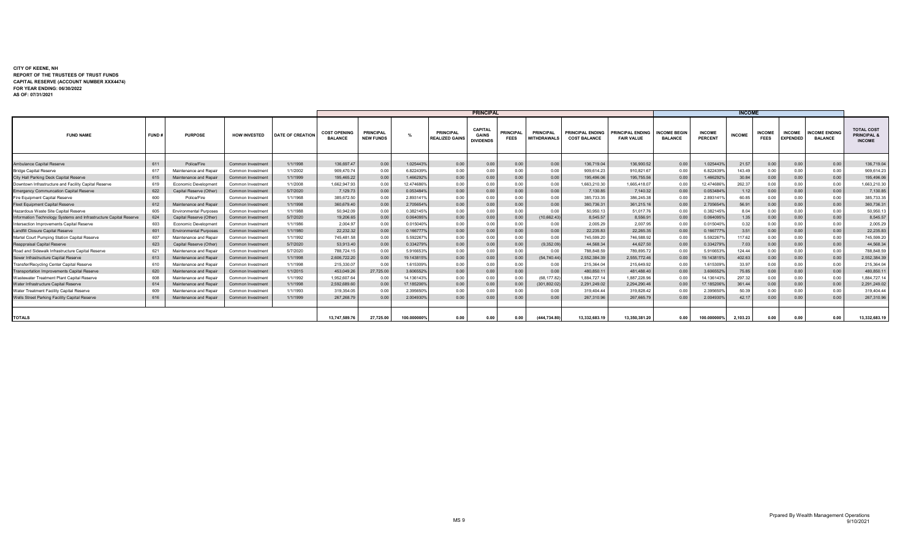#### **CITY OF KEENE, NH REPORT OF THE TRUSTEES OF TRUST FUNDS CAPITAL RESERVE (ACCOUNT NUMBER XXX4474) FOR YEAR ENDING: 06/30/2022 AS OF: 07/31/2021**

|                                                                   |       | <b>PRINCIPAL</b><br><b>INCOME</b> |                          |                         |                                       |                                      |             |                                           |                                                    |                                 |                                        |                                         |                                              |                                       |                          |               |                              |                                  |                                        |                                                              |
|-------------------------------------------------------------------|-------|-----------------------------------|--------------------------|-------------------------|---------------------------------------|--------------------------------------|-------------|-------------------------------------------|----------------------------------------------------|---------------------------------|----------------------------------------|-----------------------------------------|----------------------------------------------|---------------------------------------|--------------------------|---------------|------------------------------|----------------------------------|----------------------------------------|--------------------------------------------------------------|
| <b>FUND NAME</b>                                                  | FUND# | <b>PURPOSE</b>                    | <b>HOW INVESTED</b>      | <b>DATE OF CREATION</b> | <b>COST OPENING</b><br><b>BALANCE</b> | <b>PRINCIPAL</b><br><b>NEW FUNDS</b> |             | <b>PRINCIPAL</b><br><b>REALIZED GAINS</b> | <b>CAPITAL</b><br><b>GAINS</b><br><b>DIVIDENDS</b> | <b>PRINCIPAL</b><br><b>FEES</b> | <b>PRINCIPAL</b><br><b>WITHDRAWALS</b> | PRINCIPAL ENDING<br><b>COST BALANCE</b> | <b>PRINCIPAL ENDING</b><br><b>FAIR VALUE</b> | <b>INCOME BEGIN</b><br><b>BALANCE</b> | <b>INCOME</b><br>PERCENT | <b>INCOME</b> | <b>INCOME</b><br><b>FEES</b> | <b>INCOME</b><br><b>EXPENDED</b> | <b>INCOME ENDING</b><br><b>BALANCE</b> | <b>TOTAL COST</b><br><b>PRINCIPAL &amp;</b><br><b>INCOME</b> |
| Ambulance Capital Reserve                                         | 611   | Police/Fire                       | Common Investment        | 1/1/1998                | 136,697.47                            | 0.00                                 | 1.025443%   | 0.00                                      | 0.00                                               | 0.00                            | 0.00                                   | 136,719.04                              | 136,900.52                                   | 0.00                                  | 1.025443                 | 21.57         | 0.00                         | 0.00                             | 0.00                                   | 136,719.04                                                   |
| <b>Bridge Capital Reserve</b>                                     | 617   | Maintenance and Repai             | Common Investment        | 1/1/2002                | 909,470.74                            | 0.00                                 | 6.8224399   | 0.00                                      | 0.00                                               | 0.00                            | 0.00                                   | 909.614.23                              | 910.821.67                                   | 0.00                                  | 6.8224399                | 143.49        | 0.00                         | 0.00                             | 0.00                                   | 909.614.23                                                   |
| City Hall Parking Deck Capital Reserve                            | 615   | Maintenance and Repai             | Common Investment        | 1/1/1999                | 195,465.22                            | 0.00                                 | 1.4662929   | 0.00                                      | 0.00                                               | 0.00                            | 0.00                                   | 195,496.06                              | 195,755.56                                   | 0.00                                  | 1.4662929                | 30.84         | 0.00                         | 0.00                             | 0.00                                   | 195.496.06                                                   |
| Downtown Infrastructure and Facility Capital Reserve              | 619   | Economic Development              | Common Investment        | 1/1/2008                | 1.662.947.93                          | 0.00                                 | 12.4746869  | 0.00                                      | 0.00                                               | 0.00                            | 0.00                                   | 1.663.210.30                            | 1.665.418.07                                 | 0.00                                  | 12.4746869               | 262.37        | 0.00                         | 0.00                             | 0.00                                   | 1.663.210.30                                                 |
| <b>Emergency Communcation Capital Reserve</b>                     | 622   | Capital Reserve (Other)           | Common Investment        | 5/7/2020                | 7,129.73                              | 0.00                                 | 0.0534849   | 0.00                                      | 0.00                                               | 0.00                            | 0.00                                   | 7,130.85                                | 7,140.32                                     | 0.00                                  | 0.0534849                | 1.12          | 0.00                         | 0.00                             | 0.00                                   | 7,130.85                                                     |
| Fire Equipment Capital Reserve                                    | 600   | Police/Fire                       | Common Investment        | 1/1/1968                | 385,672.50                            | 0.00                                 | 2.8931419   | 0.00                                      | 0.00                                               | 0.00                            | 0.00                                   | 385.733.35                              | 386,245.38                                   | 0.00                                  | 2.893141                 | 60.8          | 0.00                         | 0.00                             | 0.00                                   | 385,733,35                                                   |
| Fleet Equipment Capital Reserve                                   | 612   | Maintenance and Repair            | Common Investment        | 1/1/1998                | 360.679.40                            | 0.00                                 | 2.705654%   | 0.00                                      | 0.00                                               | 0.00                            | 0.00                                   | 360,736.31                              | 361,215.16                                   | 0.00                                  | 2.7056549                | 56.91         | 0.00                         | 0.00                             | 0.00                                   | 360,736.31                                                   |
| Hazardous Waste Site Capital Reserve                              | 605   | <b>Environmental Purpose:</b>     | Common Investment        | 1/1/1988                | 50,942.09                             | 0.00                                 | 0.382145%   | 0.00                                      | 0.00                                               | 0.00                            | 0.00                                   | 50,950.1                                | 51,017.76                                    | 0.00                                  | 0.3821459                | 8.04          | 0.00                         | 0.00                             | 0.00                                   | 50,950.13                                                    |
| Information Technology Systems and Infrastructure Capital Reserve | 624   | Capital Reserve (Other)           | Common Investment        | 5/7/2020                | 19,206.65                             | 0.00                                 | 0.064095%   | 0.00                                      | 0.00                                               | 0.00                            | (10, 662.43)                           | 8,545.57                                | 8,556.9                                      | 0.00                                  | 0.0640959                | 1.35          | 0.00                         | 0.00                             | 0.00                                   | 8,545.57                                                     |
| Intersection Improvements Capital Reserve                         | 603   | Economic Development              | Common Investment        | 1/1/1986                | 2,004.97                              | 0.00                                 | 0.0150409   | 0.00                                      | 0.00                                               | 0.00                            | 0.00                                   | 2.005.29                                | 2.007.95                                     | 0.00                                  | 0.015040                 | 0.32          | 0.00                         | 0.00                             | 0.00                                   | 2,005.29                                                     |
| andfill Closure Capital Reserve                                   | 601   | <b>Environmental Purposes</b>     | Common Investment        | 1/1/1980                | 22.232.32                             | 0.00                                 | 0.1667779   | 0.00                                      | 0.00                                               | 0.00                            | 0.00                                   | 22.235.83                               | 22,265.35                                    | 0.00                                  | 0.1667779                | 3.51          | 0.00                         | 0.00                             | 0.00                                   | 22.235.83                                                    |
| Martel Court Pumping Station Capital Reserve                      | 607   | Maintenance and Repair            | Common Investment        | 1/1/1992                | 745,481.58                            | 0.00                                 | 5.5922679   | 0.00                                      | 0.00                                               | 0.00                            | 0.00                                   | 745.599.20                              | 746.588.92                                   | 0.00                                  | 5.5922679                | 117.62        | 0.00                         | 0.00                             | 0.00                                   | 745.599.20                                                   |
| Reappraisal Capital Reserve                                       | 623   | Capital Reserve (Other)           | <b>Common Investment</b> | 5/7/2020                | 53,913.40                             | 0.00                                 | 0.3342799   | 0.00                                      | 0.00                                               | 0.00                            | (9,352.09)                             | 44,568,34                               | 44,627.50                                    | 0.00                                  | 0.334279                 | 7.03          | 0.00                         | 0.00                             | 0.00                                   | 44,568.34                                                    |
| Road and Sidewalk Infrastructure Capital Reserve                  | 621   | Maintenance and Repai             | Common Investment        | 5/7/2020                | 788.724.15                            | 0.00                                 | 5.916653%   | 0.00                                      | 0.00                                               | 0.00                            | 0.00                                   | 788.848.59                              | 789.895.72                                   | 0.00                                  | 5.9166539                | 124.44        | 0.00                         | 0.00                             | 0.00                                   | 788.848.59                                                   |
| Sewer Infrastructure Capital Reserve                              | 613   | Maintenance and Repai             | Common Investment        | 1/1/1998                | 2,606,722.20                          | 0.00                                 | 19.143815%  | 0.00                                      | 0.00                                               | 0.00                            | (54, 740.44)                           | 2,552,384.39                            | 2,555,772.46                                 | 0.00                                  | 19.143815                | 402.63        | 0.00                         | 0.00                             | 0.00                                   | 2,552,384.39                                                 |
| Fransfer/Recycling Center Capital Reserve                         | 610   | Maintenance and Repair            | Common Investment        | 1/1/1998                | 215,330.07                            | 0.00                                 | 1.6153099   | 0.00                                      | 0.00                                               | 0.00                            | 0.00                                   | 215.364.04                              | 215.649.92                                   | 0.00                                  | 1.615309                 | 33.97         | 0.00                         | 0.00                             | 0.00                                   | 215.364.04                                                   |
| <b>Transportation Improvements Capital Reserve</b>                | 620   | Maintenance and Repair            | Common Investment        | 1/1/2015                | 453,049.26                            | 27,725.00                            | 3.606552%   | 0.00                                      | 0.00                                               | 0.00                            | 0.00                                   | 480,850.1                               | 481,488.40                                   | 0.00                                  | 3.6065529                | 75.85         | 0.00                         | 0.00                             | 0.00                                   | 480.850.11                                                   |
| Wastewater Treatment Plant Capital Reserve                        | 608   | Maintenance and Repair            | Common Investment        | 1/1/1992                | 1,952,607.64                          | 0.00                                 | 14.136143%  | 0.00                                      | 0.00                                               | 0.00                            | (68,177.82)                            | 1.884.727.14                            | 1,887,228.96                                 | 0.00                                  | 14.1361439               | 297.32        | 0.00                         | 0.00                             | 0.00                                   | 1.884.727.14                                                 |
| Water Infrastructure Capital Reserve                              | 614   | Maintenance and Repair            | Common Investment        | 1/1/1998                | 2,592,689.60                          | 0.00                                 | 17.1852069  | 0.00                                      | 0.00                                               | 0.00                            | (301, 802.02)                          | 2.291.249.02                            | 2,294,290.46                                 | 0.00                                  | 17.185206                | 361.44        | 0.00                         | 0.00                             | 0.00                                   | 2.291.249.02                                                 |
| Water Treatment Facility Capital Reserve                          | 609   | Maintenance and Repai             | Common Investment        | 1/1/1993                | 319,354.05                            | 0.00                                 | 2.3956509   | 0.00                                      | 0.00                                               | 0.00                            | 0.00                                   | 319,404.44                              | 319.828.42                                   | 0.00                                  | 2.3956509                | 50.39         | 0.00                         | 0.00                             | 0.00                                   | 319.404.44                                                   |
| Wells Street Parking Facility Capital Reserve                     | 616   | Maintenance and Repai             | Common Investment        | 1/1/1999                | 267,268.79                            | 0.00                                 | 2.004930%   | 0.00                                      | 0.00                                               | 0.00                            | 0.00                                   | 267,310.96                              | 267,665.79                                   | 0.00                                  | 2.0049309                | 42.17         | 0.00                         | 0.00                             | 0.00                                   | 267,310.96                                                   |
| <b>TOTALS</b>                                                     |       |                                   |                          |                         | 13.747.589.76                         | 27.725.00                            | 100.000000% | 0.00                                      | 0.00                                               | 0.00                            | (444.734.80)                           | 13.332.683.19                           | 13.350.381.20                                | 0.00                                  | 100.000000%              | 2.103.23      | 0.00                         | 0.00                             | 0.00                                   | 13.332.683.19                                                |